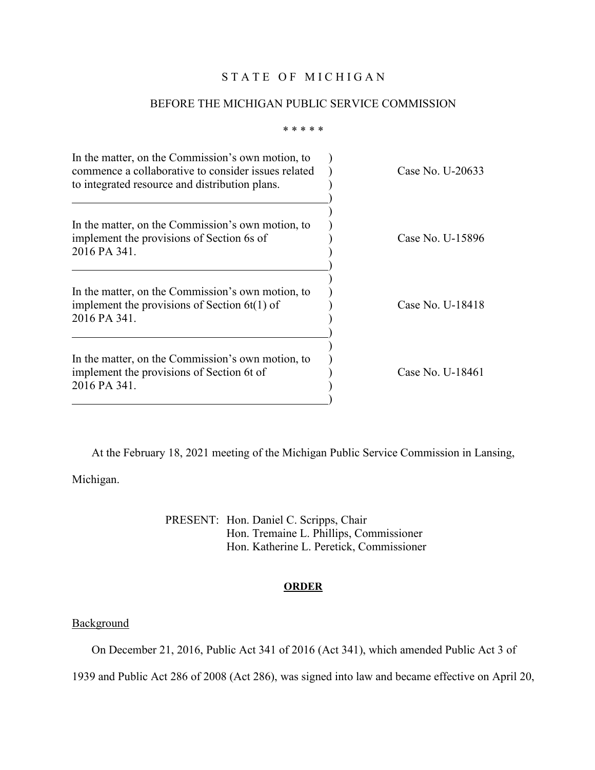### STATE OF MICHIGAN

#### BEFORE THE MICHIGAN PUBLIC SERVICE COMMISSION

\* \* \* \* \*

| In the matter, on the Commission's own motion, to<br>commence a collaborative to consider issues related<br>to integrated resource and distribution plans. | Case No. U-20633 |
|------------------------------------------------------------------------------------------------------------------------------------------------------------|------------------|
| In the matter, on the Commission's own motion, to<br>implement the provisions of Section 6s of<br>2016 PA 341.                                             | Case No. U-15896 |
| In the matter, on the Commission's own motion, to<br>implement the provisions of Section $6t(1)$ of<br>2016 PA 341.                                        | Case No. U-18418 |
| In the matter, on the Commission's own motion, to<br>implement the provisions of Section 6t of<br>2016 PA 341.                                             | Case No. U-18461 |

At the February 18, 2021 meeting of the Michigan Public Service Commission in Lansing,

Michigan.

PRESENT: Hon. Daniel C. Scripps, Chair Hon. Tremaine L. Phillips, Commissioner Hon. Katherine L. Peretick, Commissioner

#### **ORDER**

## **Background**

On December 21, 2016, Public Act 341 of 2016 (Act 341), which amended Public Act 3 of

1939 and Public Act 286 of 2008 (Act 286), was signed into law and became effective on April 20,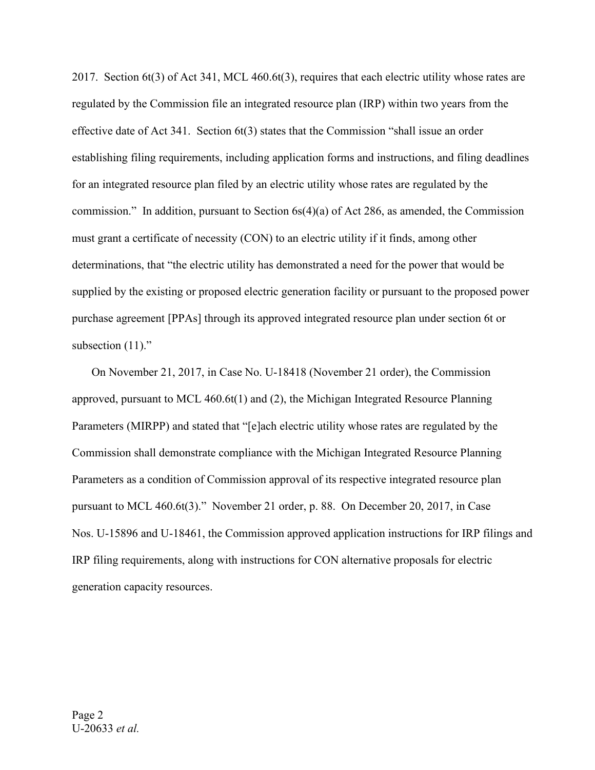2017. Section 6t(3) of Act 341, MCL 460.6t(3), requires that each electric utility whose rates are regulated by the Commission file an integrated resource plan (IRP) within two years from the effective date of Act 341. Section  $6t(3)$  states that the Commission "shall issue an order establishing filing requirements, including application forms and instructions, and filing deadlines for an integrated resource plan filed by an electric utility whose rates are regulated by the commission." In addition, pursuant to Section  $6s(4)(a)$  of Act 286, as amended, the Commission must grant a certificate of necessity (CON) to an electric utility if it finds, among other determinations, that "the electric utility has demonstrated a need for the power that would be supplied by the existing or proposed electric generation facility or pursuant to the proposed power purchase agreement [PPAs] through its approved integrated resource plan under section 6t or subsection (11)."

On November 21, 2017, in Case No. U-18418 (November 21 order), the Commission approved, pursuant to MCL 460.6t(1) and (2), the Michigan Integrated Resource Planning Parameters (MIRPP) and stated that "[e]ach electric utility whose rates are regulated by the Commission shall demonstrate compliance with the Michigan Integrated Resource Planning Parameters as a condition of Commission approval of its respective integrated resource plan pursuant to MCL 460.6t(3)." November 21 order, p. 88. On December 20, 2017, in Case Nos. U-15896 and U-18461, the Commission approved application instructions for IRP filings and IRP filing requirements, along with instructions for CON alternative proposals for electric generation capacity resources.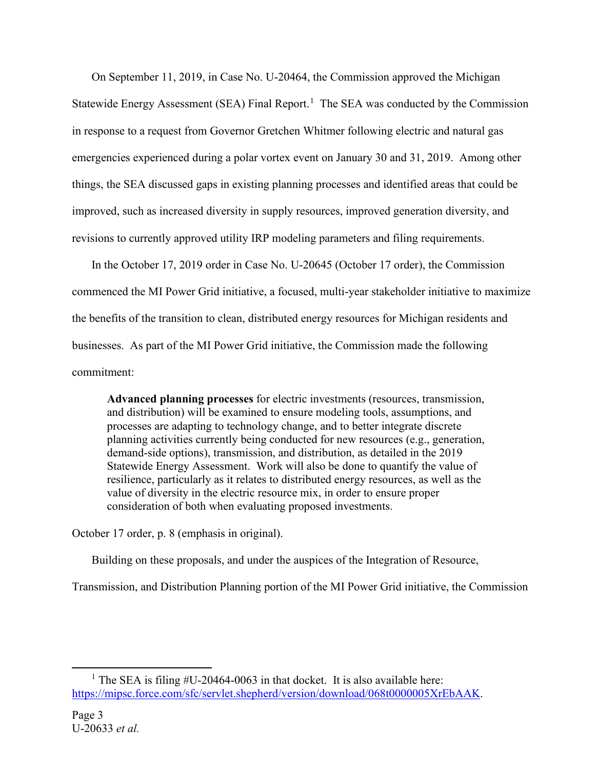On September 11, 2019, in Case No. U-20464, the Commission approved the Michigan Statewide Energy Assessment (SEA) Final Report.<sup>[1](#page-2-0)</sup> The SEA was conducted by the Commission in response to a request from Governor Gretchen Whitmer following electric and natural gas emergencies experienced during a polar vortex event on January 30 and 31, 2019. Among other things, the SEA discussed gaps in existing planning processes and identified areas that could be improved, such as increased diversity in supply resources, improved generation diversity, and revisions to currently approved utility IRP modeling parameters and filing requirements.

In the October 17, 2019 order in Case No. U-20645 (October 17 order), the Commission commenced the MI Power Grid initiative, a focused, multi-year stakeholder initiative to maximize the benefits of the transition to clean, distributed energy resources for Michigan residents and businesses. As part of the MI Power Grid initiative, the Commission made the following commitment:

**Advanced planning processes** for electric investments (resources, transmission, and distribution) will be examined to ensure modeling tools, assumptions, and processes are adapting to technology change, and to better integrate discrete planning activities currently being conducted for new resources (e.g., generation, demand-side options), transmission, and distribution, as detailed in the 2019 Statewide Energy Assessment. Work will also be done to quantify the value of resilience, particularly as it relates to distributed energy resources, as well as the value of diversity in the electric resource mix, in order to ensure proper consideration of both when evaluating proposed investments.

October 17 order, p. 8 (emphasis in original).

Building on these proposals, and under the auspices of the Integration of Resource,

Transmission, and Distribution Planning portion of the MI Power Grid initiative, the Commission

<span id="page-2-0"></span><sup>&</sup>lt;sup>1</sup> The SEA is filing  $#U-20464-0063$  in that docket. It is also available here: [https://mipsc.force.com/sfc/servlet.shepherd/version/download/068t0000005XrEbAAK.](https://mipsc.force.com/sfc/servlet.shepherd/version/download/068t0000005XrEbAAK)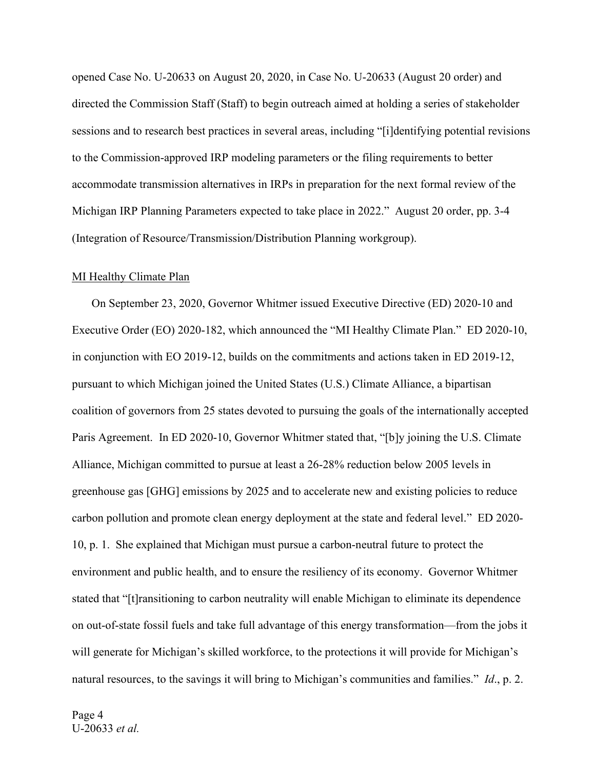opened Case No. U-20633 on August 20, 2020, in Case No. U-20633 (August 20 order) and directed the Commission Staff (Staff) to begin outreach aimed at holding a series of stakeholder sessions and to research best practices in several areas, including "[i]dentifying potential revisions to the Commission-approved IRP modeling parameters or the filing requirements to better accommodate transmission alternatives in IRPs in preparation for the next formal review of the Michigan IRP Planning Parameters expected to take place in 2022." August 20 order, pp. 3-4 (Integration of Resource/Transmission/Distribution Planning workgroup).

#### MI Healthy Climate Plan

On September 23, 2020, Governor Whitmer issued Executive Directive (ED) 2020-10 and Executive Order (EO) 2020-182, which announced the "MI Healthy Climate Plan." ED 2020-10, in conjunction with EO 2019-12, builds on the commitments and actions taken in ED 2019-12, pursuant to which Michigan joined the United States (U.S.) Climate Alliance, a bipartisan coalition of governors from 25 states devoted to pursuing the goals of the internationally accepted Paris Agreement. In ED 2020-10, Governor Whitmer stated that, "[b]y joining the U.S. Climate Alliance, Michigan committed to pursue at least a 26-28% reduction below 2005 levels in greenhouse gas [GHG] emissions by 2025 and to accelerate new and existing policies to reduce carbon pollution and promote clean energy deployment at the state and federal level." ED 2020- 10, p. 1. She explained that Michigan must pursue a carbon-neutral future to protect the environment and public health, and to ensure the resiliency of its economy. Governor Whitmer stated that "[t]ransitioning to carbon neutrality will enable Michigan to eliminate its dependence on out-of-state fossil fuels and take full advantage of this energy transformation—from the jobs it will generate for Michigan's skilled workforce, to the protections it will provide for Michigan's natural resources, to the savings it will bring to Michigan's communities and families." *Id*., p. 2.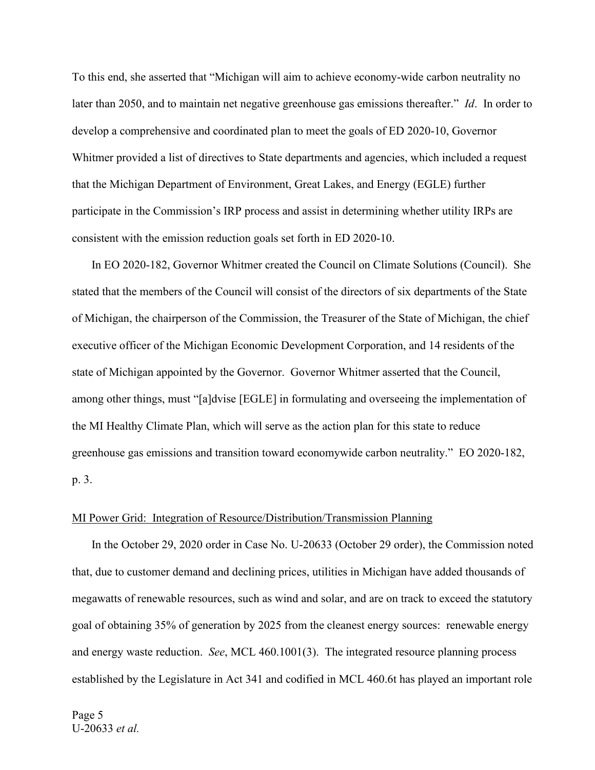To this end, she asserted that "Michigan will aim to achieve economy-wide carbon neutrality no later than 2050, and to maintain net negative greenhouse gas emissions thereafter." *Id*. In order to develop a comprehensive and coordinated plan to meet the goals of ED 2020-10, Governor Whitmer provided a list of directives to State departments and agencies, which included a request that the Michigan Department of Environment, Great Lakes, and Energy (EGLE) further participate in the Commission's IRP process and assist in determining whether utility IRPs are consistent with the emission reduction goals set forth in ED 2020-10.

In EO 2020-182, Governor Whitmer created the Council on Climate Solutions (Council). She stated that the members of the Council will consist of the directors of six departments of the State of Michigan, the chairperson of the Commission, the Treasurer of the State of Michigan, the chief executive officer of the Michigan Economic Development Corporation, and 14 residents of the state of Michigan appointed by the Governor. Governor Whitmer asserted that the Council, among other things, must "[a]dvise [EGLE] in formulating and overseeing the implementation of the MI Healthy Climate Plan, which will serve as the action plan for this state to reduce greenhouse gas emissions and transition toward economywide carbon neutrality." EO 2020-182, p. 3.

#### MI Power Grid: Integration of Resource/Distribution/Transmission Planning

In the October 29, 2020 order in Case No. U-20633 (October 29 order), the Commission noted that, due to customer demand and declining prices, utilities in Michigan have added thousands of megawatts of renewable resources, such as wind and solar, and are on track to exceed the statutory goal of obtaining 35% of generation by 2025 from the cleanest energy sources: renewable energy and energy waste reduction. *See*, MCL 460.1001(3). The integrated resource planning process established by the Legislature in Act 341 and codified in MCL 460.6t has played an important role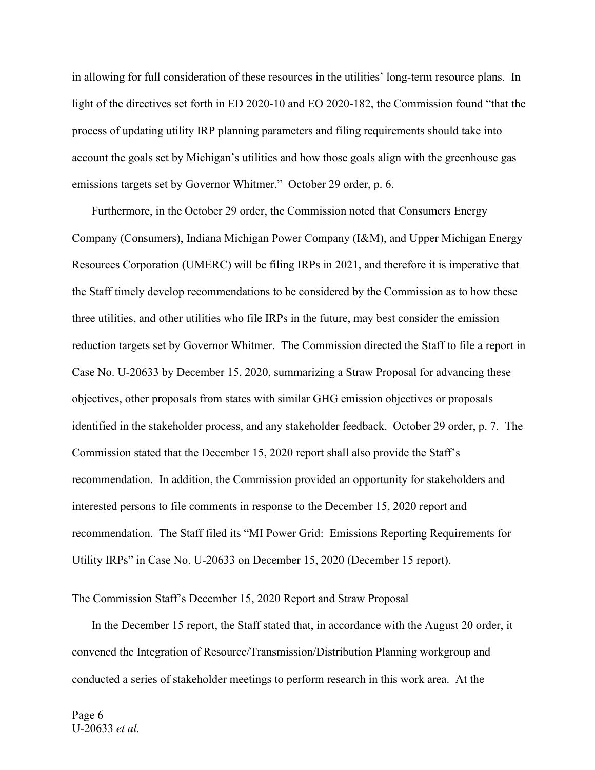in allowing for full consideration of these resources in the utilities' long-term resource plans. In light of the directives set forth in ED 2020-10 and EO 2020-182, the Commission found "that the process of updating utility IRP planning parameters and filing requirements should take into account the goals set by Michigan's utilities and how those goals align with the greenhouse gas emissions targets set by Governor Whitmer." October 29 order, p. 6.

Furthermore, in the October 29 order, the Commission noted that Consumers Energy Company (Consumers), Indiana Michigan Power Company (I&M), and Upper Michigan Energy Resources Corporation (UMERC) will be filing IRPs in 2021, and therefore it is imperative that the Staff timely develop recommendations to be considered by the Commission as to how these three utilities, and other utilities who file IRPs in the future, may best consider the emission reduction targets set by Governor Whitmer. The Commission directed the Staff to file a report in Case No. U-20633 by December 15, 2020, summarizing a Straw Proposal for advancing these objectives, other proposals from states with similar GHG emission objectives or proposals identified in the stakeholder process, and any stakeholder feedback. October 29 order, p. 7. The Commission stated that the December 15, 2020 report shall also provide the Staff's recommendation. In addition, the Commission provided an opportunity for stakeholders and interested persons to file comments in response to the December 15, 2020 report and recommendation. The Staff filed its "MI Power Grid: Emissions Reporting Requirements for Utility IRPs" in Case No. U-20633 on December 15, 2020 (December 15 report).

#### The Commission Staff's December 15, 2020 Report and Straw Proposal

In the December 15 report, the Staff stated that, in accordance with the August 20 order, it convened the Integration of Resource/Transmission/Distribution Planning workgroup and conducted a series of stakeholder meetings to perform research in this work area. At the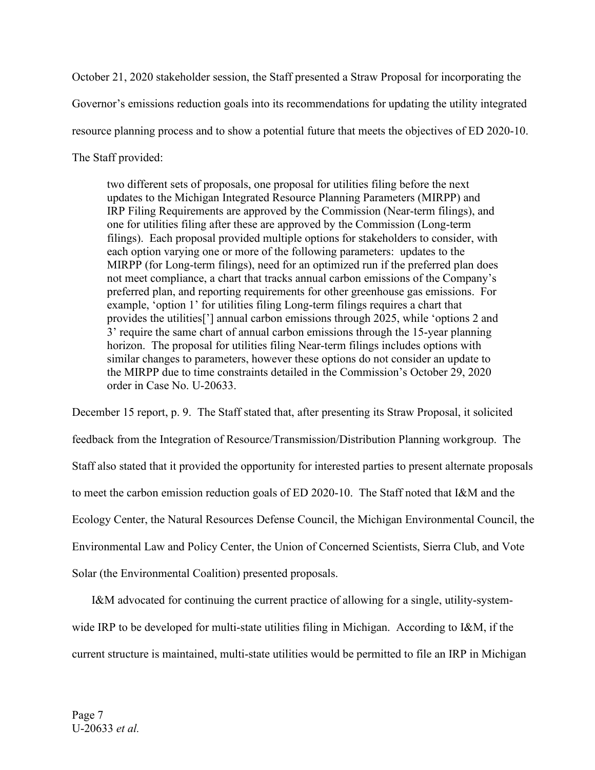October 21, 2020 stakeholder session, the Staff presented a Straw Proposal for incorporating the Governor's emissions reduction goals into its recommendations for updating the utility integrated resource planning process and to show a potential future that meets the objectives of ED 2020-10. The Staff provided:

two different sets of proposals, one proposal for utilities filing before the next updates to the Michigan Integrated Resource Planning Parameters (MIRPP) and IRP Filing Requirements are approved by the Commission (Near-term filings), and one for utilities filing after these are approved by the Commission (Long-term filings). Each proposal provided multiple options for stakeholders to consider, with each option varying one or more of the following parameters: updates to the MIRPP (for Long-term filings), need for an optimized run if the preferred plan does not meet compliance, a chart that tracks annual carbon emissions of the Company's preferred plan, and reporting requirements for other greenhouse gas emissions. For example, 'option 1' for utilities filing Long-term filings requires a chart that provides the utilities['] annual carbon emissions through 2025, while 'options 2 and 3' require the same chart of annual carbon emissions through the 15-year planning horizon. The proposal for utilities filing Near-term filings includes options with similar changes to parameters, however these options do not consider an update to the MIRPP due to time constraints detailed in the Commission's October 29, 2020 order in Case No. U-20633.

December 15 report, p. 9. The Staff stated that, after presenting its Straw Proposal, it solicited feedback from the Integration of Resource/Transmission/Distribution Planning workgroup. The Staff also stated that it provided the opportunity for interested parties to present alternate proposals to meet the carbon emission reduction goals of ED 2020-10. The Staff noted that I&M and the Ecology Center, the Natural Resources Defense Council, the Michigan Environmental Council, the Environmental Law and Policy Center, the Union of Concerned Scientists, Sierra Club, and Vote Solar (the Environmental Coalition) presented proposals.

I&M advocated for continuing the current practice of allowing for a single, utility-systemwide IRP to be developed for multi-state utilities filing in Michigan. According to I&M, if the current structure is maintained, multi-state utilities would be permitted to file an IRP in Michigan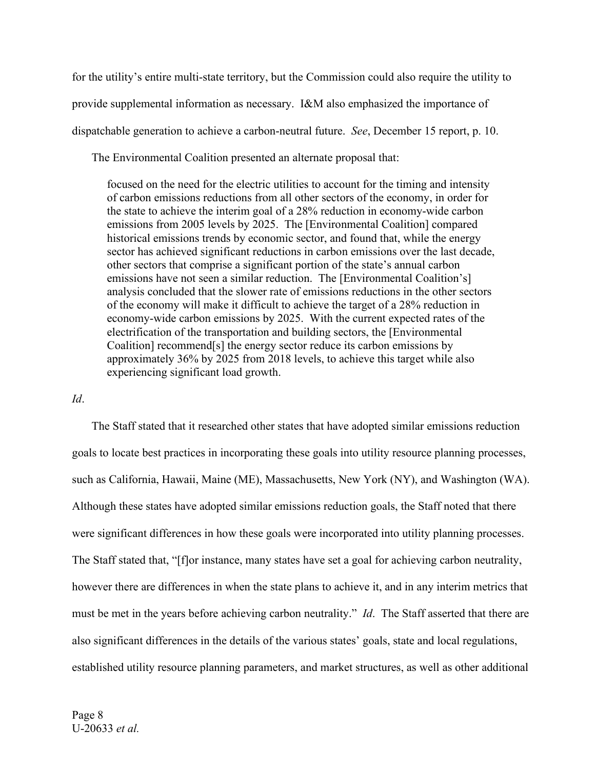for the utility's entire multi-state territory, but the Commission could also require the utility to provide supplemental information as necessary. I&M also emphasized the importance of dispatchable generation to achieve a carbon-neutral future. *See*, December 15 report, p. 10.

The Environmental Coalition presented an alternate proposal that:

focused on the need for the electric utilities to account for the timing and intensity of carbon emissions reductions from all other sectors of the economy, in order for the state to achieve the interim goal of a 28% reduction in economy-wide carbon emissions from 2005 levels by 2025. The [Environmental Coalition] compared historical emissions trends by economic sector, and found that, while the energy sector has achieved significant reductions in carbon emissions over the last decade, other sectors that comprise a significant portion of the state's annual carbon emissions have not seen a similar reduction. The [Environmental Coalition's] analysis concluded that the slower rate of emissions reductions in the other sectors of the economy will make it difficult to achieve the target of a 28% reduction in economy-wide carbon emissions by 2025. With the current expected rates of the electrification of the transportation and building sectors, the [Environmental Coalition] recommend[s] the energy sector reduce its carbon emissions by approximately 36% by 2025 from 2018 levels, to achieve this target while also experiencing significant load growth.

#### *Id*.

The Staff stated that it researched other states that have adopted similar emissions reduction goals to locate best practices in incorporating these goals into utility resource planning processes, such as California, Hawaii, Maine (ME), Massachusetts, New York (NY), and Washington (WA). Although these states have adopted similar emissions reduction goals, the Staff noted that there were significant differences in how these goals were incorporated into utility planning processes. The Staff stated that, "[f]or instance, many states have set a goal for achieving carbon neutrality, however there are differences in when the state plans to achieve it, and in any interim metrics that must be met in the years before achieving carbon neutrality." *Id*. The Staff asserted that there are also significant differences in the details of the various states' goals, state and local regulations, established utility resource planning parameters, and market structures, as well as other additional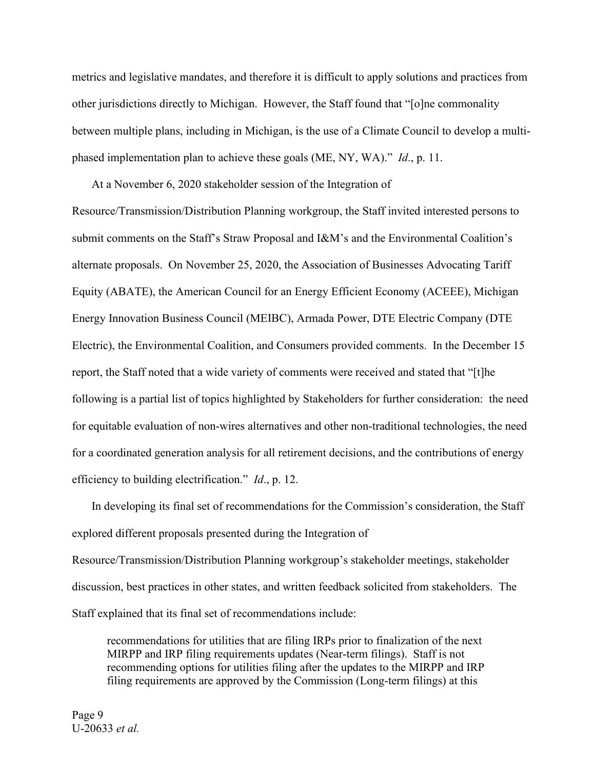metrics and legislative mandates, and therefore it is difficult to apply solutions and practices from other jurisdictions directly to Michigan. However, the Staff found that "[o]ne commonality between multiple plans, including in Michigan, is the use of a Climate Council to develop a multiphased implementation plan to achieve these goals (ME, NY, WA)." *Id*., p. 11.

At a November 6, 2020 stakeholder session of the Integration of Resource/Transmission/Distribution Planning workgroup, the Staff invited interested persons to submit comments on the Staff's Straw Proposal and I&M's and the Environmental Coalition's alternate proposals. On November 25, 2020, the Association of Businesses Advocating Tariff Equity (ABATE), the American Council for an Energy Efficient Economy (ACEEE), Michigan Energy Innovation Business Council (MEIBC), Armada Power, DTE Electric Company (DTE Electric), the Environmental Coalition, and Consumers provided comments. In the December 15 report, the Staff noted that a wide variety of comments were received and stated that "[t]he following is a partial list of topics highlighted by Stakeholders for further consideration: the need for equitable evaluation of non-wires alternatives and other non-traditional technologies, the need for a coordinated generation analysis for all retirement decisions, and the contributions of energy efficiency to building electrification." *Id*., p. 12.

In developing its final set of recommendations for the Commission's consideration, the Staff explored different proposals presented during the Integration of Resource/Transmission/Distribution Planning workgroup's stakeholder meetings, stakeholder discussion, best practices in other states, and written feedback solicited from stakeholders. The Staff explained that its final set of recommendations include:

recommendations for utilities that are filing IRPs prior to finalization of the next MIRPP and IRP filing requirements updates (Near-term filings). Staff is not recommending options for utilities filing after the updates to the MIRPP and IRP filing requirements are approved by the Commission (Long-term filings) at this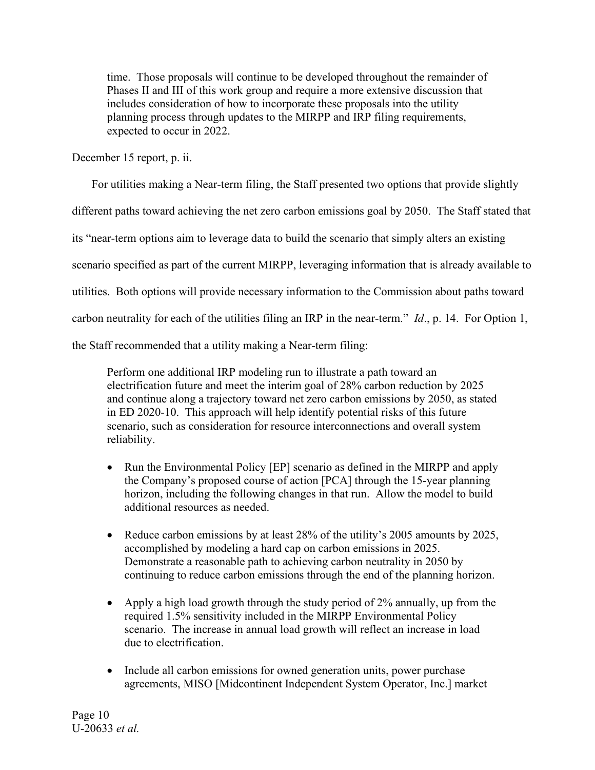time. Those proposals will continue to be developed throughout the remainder of Phases II and III of this work group and require a more extensive discussion that includes consideration of how to incorporate these proposals into the utility planning process through updates to the MIRPP and IRP filing requirements, expected to occur in 2022.

December 15 report, p. ii.

For utilities making a Near-term filing, the Staff presented two options that provide slightly

different paths toward achieving the net zero carbon emissions goal by 2050. The Staff stated that

its "near-term options aim to leverage data to build the scenario that simply alters an existing

scenario specified as part of the current MIRPP, leveraging information that is already available to

utilities. Both options will provide necessary information to the Commission about paths toward

carbon neutrality for each of the utilities filing an IRP in the near-term." *Id*., p. 14. For Option 1,

the Staff recommended that a utility making a Near-term filing:

Perform one additional IRP modeling run to illustrate a path toward an electrification future and meet the interim goal of 28% carbon reduction by 2025 and continue along a trajectory toward net zero carbon emissions by 2050, as stated in ED 2020-10. This approach will help identify potential risks of this future scenario, such as consideration for resource interconnections and overall system reliability.

- Run the Environmental Policy [EP] scenario as defined in the MIRPP and apply the Company's proposed course of action [PCA] through the 15-year planning horizon, including the following changes in that run. Allow the model to build additional resources as needed.
- Reduce carbon emissions by at least 28% of the utility's 2005 amounts by 2025, accomplished by modeling a hard cap on carbon emissions in 2025. Demonstrate a reasonable path to achieving carbon neutrality in 2050 by continuing to reduce carbon emissions through the end of the planning horizon.
- Apply a high load growth through the study period of 2% annually, up from the required 1.5% sensitivity included in the MIRPP Environmental Policy scenario. The increase in annual load growth will reflect an increase in load due to electrification.
- Include all carbon emissions for owned generation units, power purchase agreements, MISO [Midcontinent Independent System Operator, Inc.] market

Page 10 U-20633 *et al.*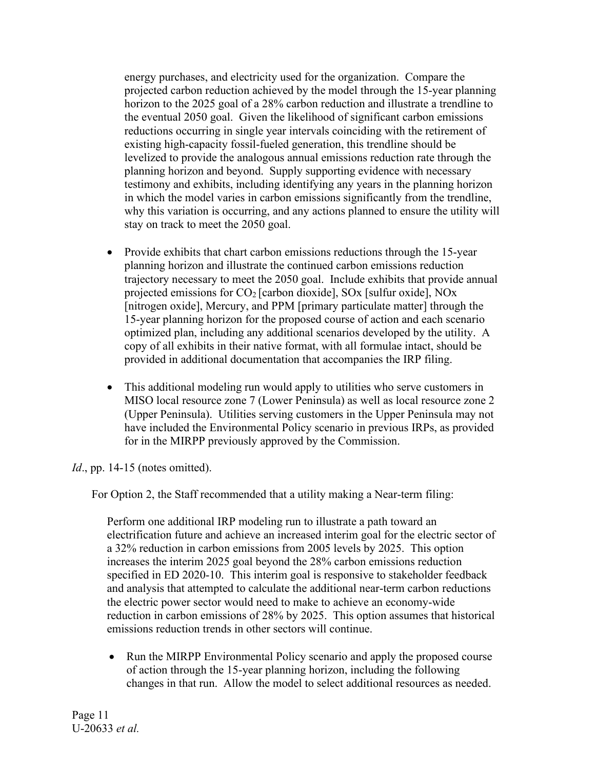energy purchases, and electricity used for the organization. Compare the projected carbon reduction achieved by the model through the 15-year planning horizon to the 2025 goal of a 28% carbon reduction and illustrate a trendline to the eventual 2050 goal. Given the likelihood of significant carbon emissions reductions occurring in single year intervals coinciding with the retirement of existing high-capacity fossil-fueled generation, this trendline should be levelized to provide the analogous annual emissions reduction rate through the planning horizon and beyond. Supply supporting evidence with necessary testimony and exhibits, including identifying any years in the planning horizon in which the model varies in carbon emissions significantly from the trendline, why this variation is occurring, and any actions planned to ensure the utility will stay on track to meet the 2050 goal.

- Provide exhibits that chart carbon emissions reductions through the 15-year planning horizon and illustrate the continued carbon emissions reduction trajectory necessary to meet the 2050 goal. Include exhibits that provide annual projected emissions for CO2 [carbon dioxide], SOx [sulfur oxide], NOx [nitrogen oxide], Mercury, and PPM [primary particulate matter] through the 15-year planning horizon for the proposed course of action and each scenario optimized plan, including any additional scenarios developed by the utility. A copy of all exhibits in their native format, with all formulae intact, should be provided in additional documentation that accompanies the IRP filing.
- This additional modeling run would apply to utilities who serve customers in MISO local resource zone 7 (Lower Peninsula) as well as local resource zone 2 (Upper Peninsula). Utilities serving customers in the Upper Peninsula may not have included the Environmental Policy scenario in previous IRPs, as provided for in the MIRPP previously approved by the Commission.

*Id.*, pp. 14-15 (notes omitted).

For Option 2, the Staff recommended that a utility making a Near-term filing:

Perform one additional IRP modeling run to illustrate a path toward an electrification future and achieve an increased interim goal for the electric sector of a 32% reduction in carbon emissions from 2005 levels by 2025. This option increases the interim 2025 goal beyond the 28% carbon emissions reduction specified in ED 2020-10. This interim goal is responsive to stakeholder feedback and analysis that attempted to calculate the additional near-term carbon reductions the electric power sector would need to make to achieve an economy-wide reduction in carbon emissions of 28% by 2025. This option assumes that historical emissions reduction trends in other sectors will continue.

• Run the MIRPP Environmental Policy scenario and apply the proposed course of action through the 15-year planning horizon, including the following changes in that run. Allow the model to select additional resources as needed.

Page 11 U-20633 *et al.*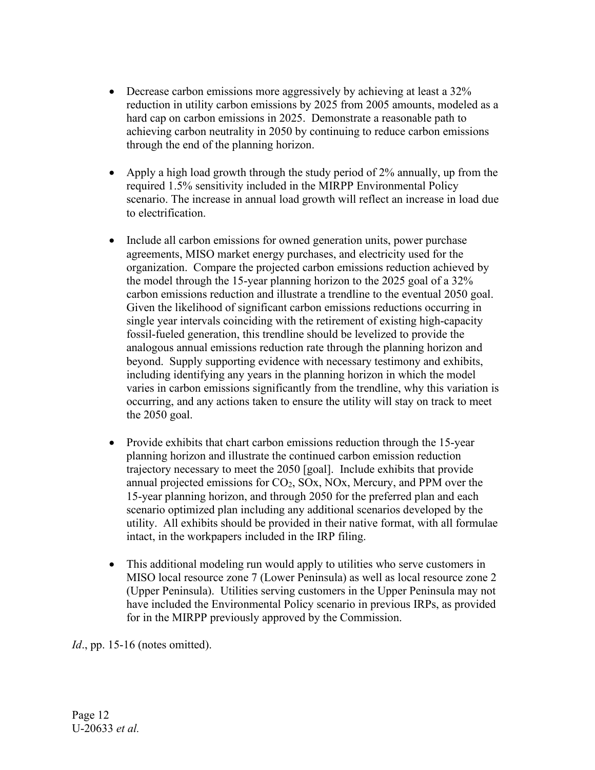- Decrease carbon emissions more aggressively by achieving at least a 32% reduction in utility carbon emissions by 2025 from 2005 amounts, modeled as a hard cap on carbon emissions in 2025. Demonstrate a reasonable path to achieving carbon neutrality in 2050 by continuing to reduce carbon emissions through the end of the planning horizon.
- Apply a high load growth through the study period of 2% annually, up from the required 1.5% sensitivity included in the MIRPP Environmental Policy scenario. The increase in annual load growth will reflect an increase in load due to electrification.
- Include all carbon emissions for owned generation units, power purchase agreements, MISO market energy purchases, and electricity used for the organization. Compare the projected carbon emissions reduction achieved by the model through the 15-year planning horizon to the 2025 goal of a 32% carbon emissions reduction and illustrate a trendline to the eventual 2050 goal. Given the likelihood of significant carbon emissions reductions occurring in single year intervals coinciding with the retirement of existing high-capacity fossil-fueled generation, this trendline should be levelized to provide the analogous annual emissions reduction rate through the planning horizon and beyond. Supply supporting evidence with necessary testimony and exhibits, including identifying any years in the planning horizon in which the model varies in carbon emissions significantly from the trendline, why this variation is occurring, and any actions taken to ensure the utility will stay on track to meet the 2050 goal.
- Provide exhibits that chart carbon emissions reduction through the 15-year planning horizon and illustrate the continued carbon emission reduction trajectory necessary to meet the 2050 [goal]. Include exhibits that provide annual projected emissions for  $CO<sub>2</sub>$ ,  $SO<sub>X</sub>$ ,  $NO<sub>X</sub>$ , Mercury, and PPM over the 15-year planning horizon, and through 2050 for the preferred plan and each scenario optimized plan including any additional scenarios developed by the utility. All exhibits should be provided in their native format, with all formulae intact, in the workpapers included in the IRP filing.
- This additional modeling run would apply to utilities who serve customers in MISO local resource zone 7 (Lower Peninsula) as well as local resource zone 2 (Upper Peninsula). Utilities serving customers in the Upper Peninsula may not have included the Environmental Policy scenario in previous IRPs, as provided for in the MIRPP previously approved by the Commission.

*Id.*, pp. 15-16 (notes omitted).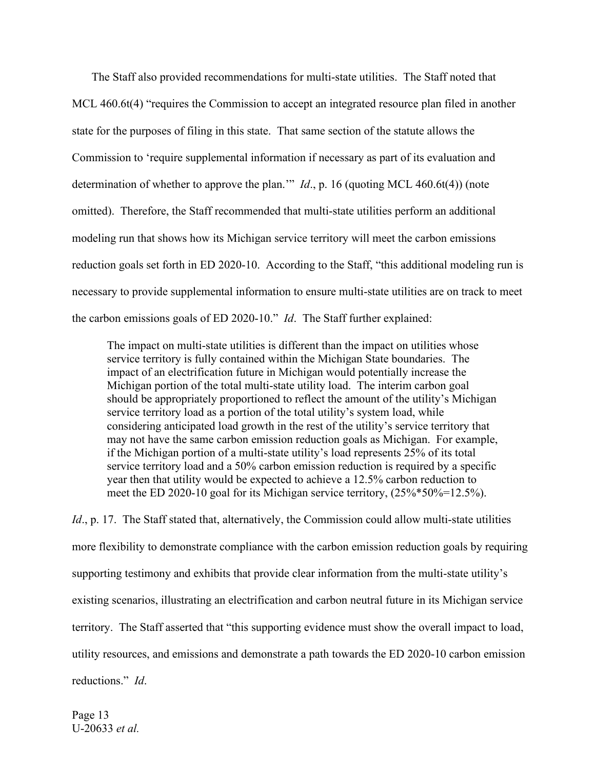The Staff also provided recommendations for multi-state utilities. The Staff noted that MCL 460.6t(4) "requires the Commission to accept an integrated resource plan filed in another state for the purposes of filing in this state. That same section of the statute allows the Commission to 'require supplemental information if necessary as part of its evaluation and determination of whether to approve the plan.'" *Id*., p. 16 (quoting MCL 460.6t(4)) (note omitted). Therefore, the Staff recommended that multi-state utilities perform an additional modeling run that shows how its Michigan service territory will meet the carbon emissions reduction goals set forth in ED 2020-10. According to the Staff, "this additional modeling run is necessary to provide supplemental information to ensure multi-state utilities are on track to meet the carbon emissions goals of ED 2020-10." *Id*. The Staff further explained:

The impact on multi-state utilities is different than the impact on utilities whose service territory is fully contained within the Michigan State boundaries. The impact of an electrification future in Michigan would potentially increase the Michigan portion of the total multi-state utility load. The interim carbon goal should be appropriately proportioned to reflect the amount of the utility's Michigan service territory load as a portion of the total utility's system load, while considering anticipated load growth in the rest of the utility's service territory that may not have the same carbon emission reduction goals as Michigan. For example, if the Michigan portion of a multi-state utility's load represents 25% of its total service territory load and a 50% carbon emission reduction is required by a specific year then that utility would be expected to achieve a 12.5% carbon reduction to meet the ED 2020-10 goal for its Michigan service territory, (25%\*50%=12.5%).

*Id.*, p. 17. The Staff stated that, alternatively, the Commission could allow multi-state utilities more flexibility to demonstrate compliance with the carbon emission reduction goals by requiring supporting testimony and exhibits that provide clear information from the multi-state utility's existing scenarios, illustrating an electrification and carbon neutral future in its Michigan service territory. The Staff asserted that "this supporting evidence must show the overall impact to load, utility resources, and emissions and demonstrate a path towards the ED 2020-10 carbon emission reductions." *Id*.

Page 13 U-20633 *et al.*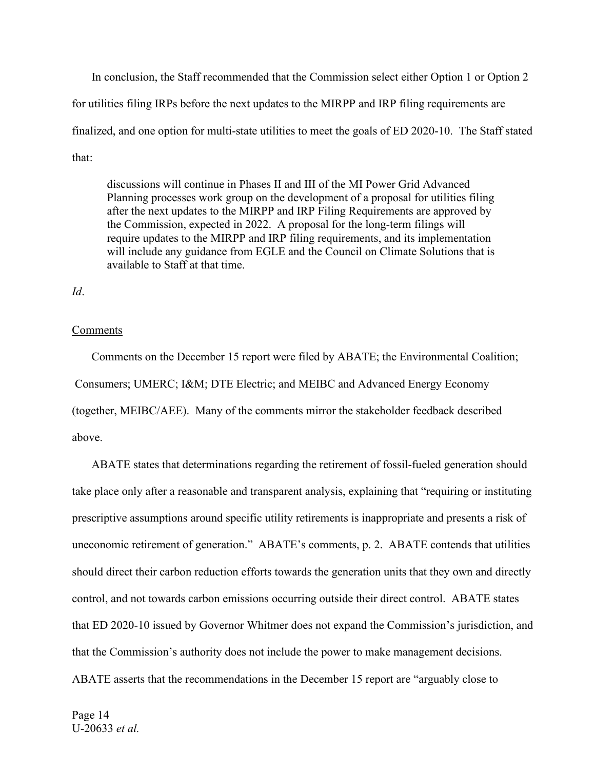In conclusion, the Staff recommended that the Commission select either Option 1 or Option 2 for utilities filing IRPs before the next updates to the MIRPP and IRP filing requirements are finalized, and one option for multi-state utilities to meet the goals of ED 2020-10. The Staff stated that:

discussions will continue in Phases II and III of the MI Power Grid Advanced Planning processes work group on the development of a proposal for utilities filing after the next updates to the MIRPP and IRP Filing Requirements are approved by the Commission, expected in 2022. A proposal for the long-term filings will require updates to the MIRPP and IRP filing requirements, and its implementation will include any guidance from EGLE and the Council on Climate Solutions that is available to Staff at that time.

*Id*.

#### **Comments**

Comments on the December 15 report were filed by ABATE; the Environmental Coalition; Consumers; UMERC; I&M; DTE Electric; and MEIBC and Advanced Energy Economy (together, MEIBC/AEE). Many of the comments mirror the stakeholder feedback described above.

ABATE states that determinations regarding the retirement of fossil-fueled generation should take place only after a reasonable and transparent analysis, explaining that "requiring or instituting prescriptive assumptions around specific utility retirements is inappropriate and presents a risk of uneconomic retirement of generation." ABATE's comments, p. 2. ABATE contends that utilities should direct their carbon reduction efforts towards the generation units that they own and directly control, and not towards carbon emissions occurring outside their direct control. ABATE states that ED 2020-10 issued by Governor Whitmer does not expand the Commission's jurisdiction, and that the Commission's authority does not include the power to make management decisions. ABATE asserts that the recommendations in the December 15 report are "arguably close to

Page 14 U-20633 *et al.*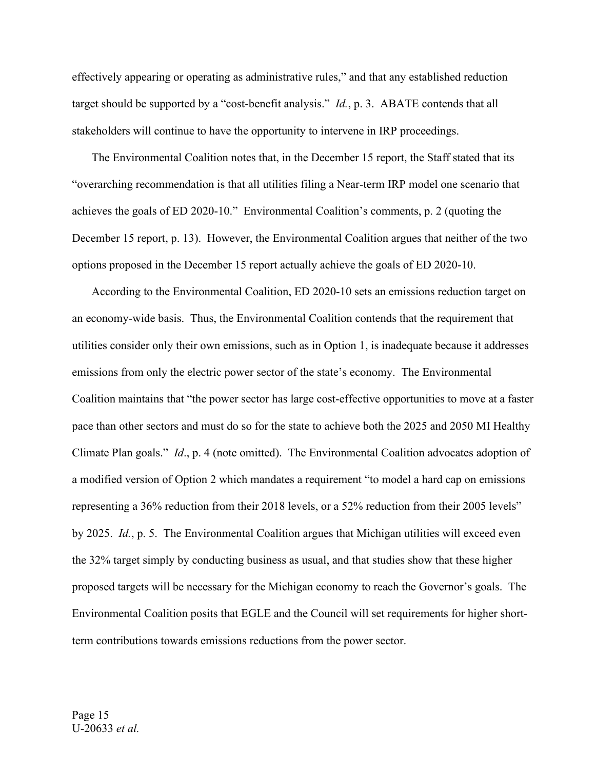effectively appearing or operating as administrative rules," and that any established reduction target should be supported by a "cost-benefit analysis." *Id.*, p. 3. ABATE contends that all stakeholders will continue to have the opportunity to intervene in IRP proceedings.

The Environmental Coalition notes that, in the December 15 report, the Staff stated that its "overarching recommendation is that all utilities filing a Near-term IRP model one scenario that achieves the goals of ED 2020-10." Environmental Coalition's comments, p. 2 (quoting the December 15 report, p. 13). However, the Environmental Coalition argues that neither of the two options proposed in the December 15 report actually achieve the goals of ED 2020-10.

According to the Environmental Coalition, ED 2020-10 sets an emissions reduction target on an economy-wide basis. Thus, the Environmental Coalition contends that the requirement that utilities consider only their own emissions, such as in Option 1, is inadequate because it addresses emissions from only the electric power sector of the state's economy. The Environmental Coalition maintains that "the power sector has large cost-effective opportunities to move at a faster pace than other sectors and must do so for the state to achieve both the 2025 and 2050 MI Healthy Climate Plan goals." *Id*., p. 4 (note omitted). The Environmental Coalition advocates adoption of a modified version of Option 2 which mandates a requirement "to model a hard cap on emissions representing a 36% reduction from their 2018 levels, or a 52% reduction from their 2005 levels" by 2025. *Id.*, p. 5. The Environmental Coalition argues that Michigan utilities will exceed even the 32% target simply by conducting business as usual, and that studies show that these higher proposed targets will be necessary for the Michigan economy to reach the Governor's goals. The Environmental Coalition posits that EGLE and the Council will set requirements for higher shortterm contributions towards emissions reductions from the power sector.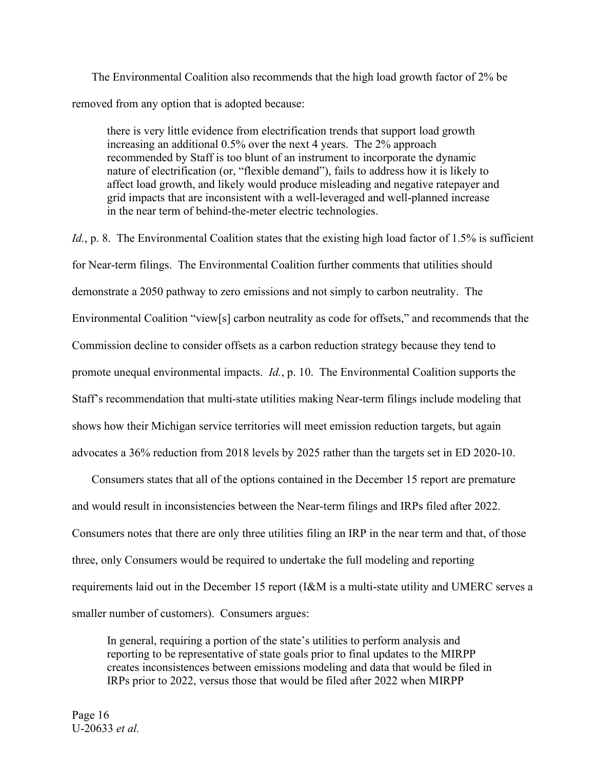The Environmental Coalition also recommends that the high load growth factor of 2% be removed from any option that is adopted because:

there is very little evidence from electrification trends that support load growth increasing an additional 0.5% over the next 4 years. The 2% approach recommended by Staff is too blunt of an instrument to incorporate the dynamic nature of electrification (or, "flexible demand"), fails to address how it is likely to affect load growth, and likely would produce misleading and negative ratepayer and grid impacts that are inconsistent with a well-leveraged and well-planned increase in the near term of behind-the-meter electric technologies.

*Id.*, p. 8. The Environmental Coalition states that the existing high load factor of 1.5% is sufficient for Near-term filings. The Environmental Coalition further comments that utilities should demonstrate a 2050 pathway to zero emissions and not simply to carbon neutrality. The Environmental Coalition "view[s] carbon neutrality as code for offsets," and recommends that the Commission decline to consider offsets as a carbon reduction strategy because they tend to promote unequal environmental impacts. *Id.*, p. 10. The Environmental Coalition supports the Staff's recommendation that multi-state utilities making Near-term filings include modeling that shows how their Michigan service territories will meet emission reduction targets, but again advocates a 36% reduction from 2018 levels by 2025 rather than the targets set in ED 2020-10.

Consumers states that all of the options contained in the December 15 report are premature and would result in inconsistencies between the Near-term filings and IRPs filed after 2022. Consumers notes that there are only three utilities filing an IRP in the near term and that, of those three, only Consumers would be required to undertake the full modeling and reporting requirements laid out in the December 15 report (I&M is a multi-state utility and UMERC serves a smaller number of customers). Consumers argues:

In general, requiring a portion of the state's utilities to perform analysis and reporting to be representative of state goals prior to final updates to the MIRPP creates inconsistences between emissions modeling and data that would be filed in IRPs prior to 2022, versus those that would be filed after 2022 when MIRPP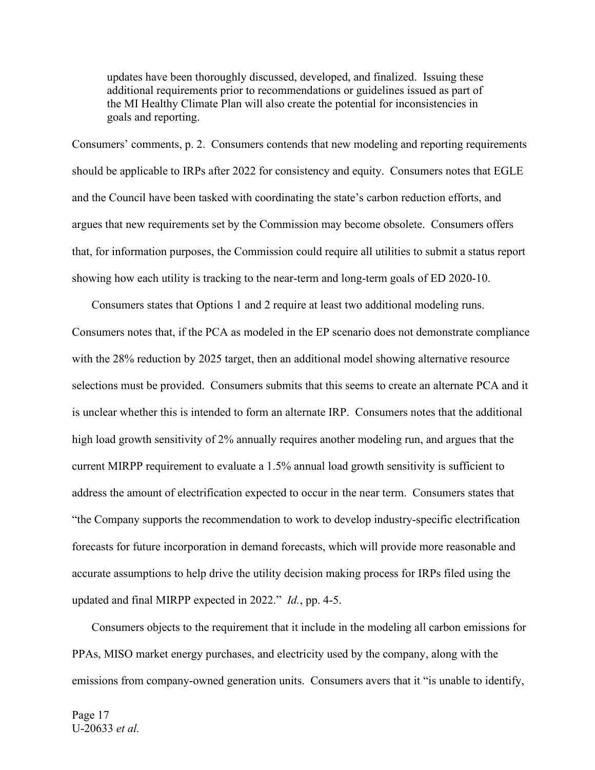updates have been thoroughly discussed, developed, and finalized. Issuing these additional requirements prior to recommendations or guidelines issued as part of the MI Healthy Climate Plan will also create the potential for inconsistencies in goals and reporting.

Consumers' comments, p. 2. Consumers contends that new modeling and reporting requirements should be applicable to IRPs after 2022 for consistency and equity. Consumers notes that EGLE and the Council have been tasked with coordinating the state's carbon reduction efforts, and argues that new requirements set by the Commission may become obsolete. Consumers offers that, for information purposes, the Commission could require all utilities to submit a status report showing how each utility is tracking to the near-term and long-term goals of ED 2020-10.

Consumers states that Options 1 and 2 require at least two additional modeling runs. Consumers notes that, if the PCA as modeled in the EP scenario does not demonstrate compliance with the 28% reduction by 2025 target, then an additional model showing alternative resource selections must be provided. Consumers submits that this seems to create an alternate PCA and it is unclear whether this is intended to form an alternate IRP. Consumers notes that the additional high load growth sensitivity of 2% annually requires another modeling run, and argues that the current MIRPP requirement to evaluate a 1.5% annual load growth sensitivity is sufficient to address the amount of electrification expected to occur in the near term. Consumers states that "the Company supports the recommendation to work to develop industry-specific electrification forecasts for future incorporation in demand forecasts, which will provide more reasonable and accurate assumptions to help drive the utility decision making process for IRPs filed using the updated and final MIRPP expected in 2022." *Id.*, pp. 4-5.

Consumers objects to the requirement that it include in the modeling all carbon emissions for PPAs, MISO market energy purchases, and electricity used by the company, along with the emissions from company-owned generation units. Consumers avers that it "is unable to identify,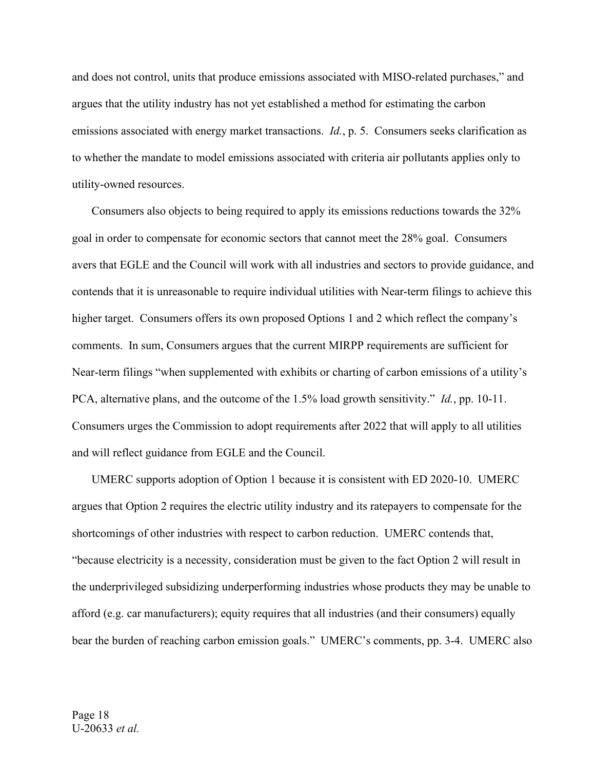and does not control, units that produce emissions associated with MISO-related purchases," and argues that the utility industry has not yet established a method for estimating the carbon emissions associated with energy market transactions. *Id.*, p. 5. Consumers seeks clarification as to whether the mandate to model emissions associated with criteria air pollutants applies only to utility-owned resources.

Consumers also objects to being required to apply its emissions reductions towards the 32% goal in order to compensate for economic sectors that cannot meet the 28% goal. Consumers avers that EGLE and the Council will work with all industries and sectors to provide guidance, and contends that it is unreasonable to require individual utilities with Near-term filings to achieve this higher target. Consumers offers its own proposed Options 1 and 2 which reflect the company's comments. In sum, Consumers argues that the current MIRPP requirements are sufficient for Near-term filings "when supplemented with exhibits or charting of carbon emissions of a utility's PCA, alternative plans, and the outcome of the 1.5% load growth sensitivity." *Id.*, pp. 10-11. Consumers urges the Commission to adopt requirements after 2022 that will apply to all utilities and will reflect guidance from EGLE and the Council.

UMERC supports adoption of Option 1 because it is consistent with ED 2020-10. UMERC argues that Option 2 requires the electric utility industry and its ratepayers to compensate for the shortcomings of other industries with respect to carbon reduction. UMERC contends that, "because electricity is a necessity, consideration must be given to the fact Option 2 will result in the underprivileged subsidizing underperforming industries whose products they may be unable to afford (e.g. car manufacturers); equity requires that all industries (and their consumers) equally bear the burden of reaching carbon emission goals." UMERC's comments, pp. 3-4. UMERC also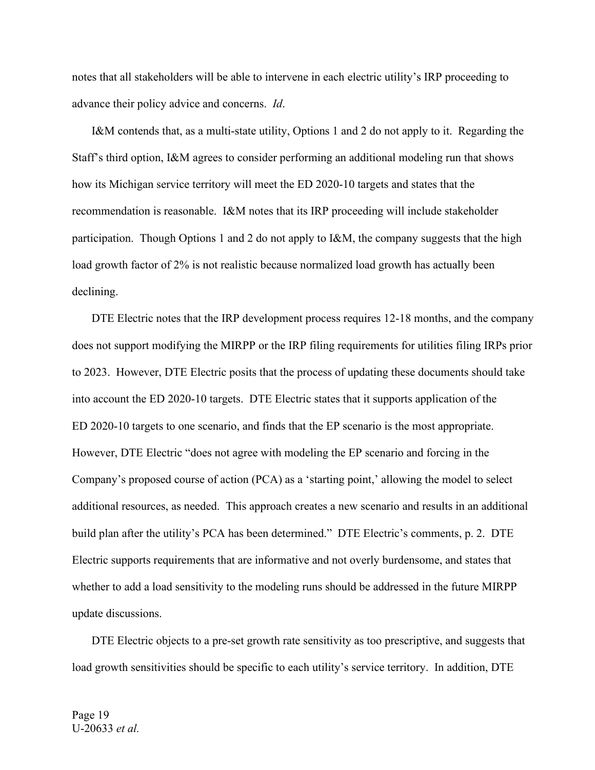notes that all stakeholders will be able to intervene in each electric utility's IRP proceeding to advance their policy advice and concerns. *Id*.

I&M contends that, as a multi-state utility, Options 1 and 2 do not apply to it. Regarding the Staff's third option, I&M agrees to consider performing an additional modeling run that shows how its Michigan service territory will meet the ED 2020-10 targets and states that the recommendation is reasonable. I&M notes that its IRP proceeding will include stakeholder participation. Though Options 1 and 2 do not apply to I&M, the company suggests that the high load growth factor of 2% is not realistic because normalized load growth has actually been declining.

DTE Electric notes that the IRP development process requires 12-18 months, and the company does not support modifying the MIRPP or the IRP filing requirements for utilities filing IRPs prior to 2023. However, DTE Electric posits that the process of updating these documents should take into account the ED 2020-10 targets. DTE Electric states that it supports application of the ED 2020-10 targets to one scenario, and finds that the EP scenario is the most appropriate. However, DTE Electric "does not agree with modeling the EP scenario and forcing in the Company's proposed course of action (PCA) as a 'starting point,' allowing the model to select additional resources, as needed. This approach creates a new scenario and results in an additional build plan after the utility's PCA has been determined." DTE Electric's comments, p. 2. DTE Electric supports requirements that are informative and not overly burdensome, and states that whether to add a load sensitivity to the modeling runs should be addressed in the future MIRPP update discussions.

DTE Electric objects to a pre-set growth rate sensitivity as too prescriptive, and suggests that load growth sensitivities should be specific to each utility's service territory. In addition, DTE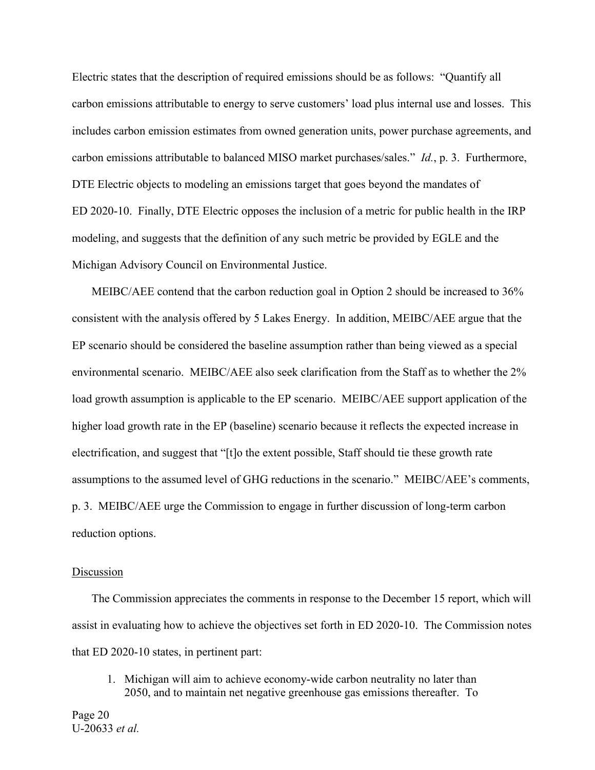Electric states that the description of required emissions should be as follows: "Quantify all carbon emissions attributable to energy to serve customers' load plus internal use and losses. This includes carbon emission estimates from owned generation units, power purchase agreements, and carbon emissions attributable to balanced MISO market purchases/sales." *Id.*, p. 3. Furthermore, DTE Electric objects to modeling an emissions target that goes beyond the mandates of ED 2020-10. Finally, DTE Electric opposes the inclusion of a metric for public health in the IRP modeling, and suggests that the definition of any such metric be provided by EGLE and the Michigan Advisory Council on Environmental Justice.

MEIBC/AEE contend that the carbon reduction goal in Option 2 should be increased to 36% consistent with the analysis offered by 5 Lakes Energy. In addition, MEIBC/AEE argue that the EP scenario should be considered the baseline assumption rather than being viewed as a special environmental scenario. MEIBC/AEE also seek clarification from the Staff as to whether the 2% load growth assumption is applicable to the EP scenario. MEIBC/AEE support application of the higher load growth rate in the EP (baseline) scenario because it reflects the expected increase in electrification, and suggest that "[t]o the extent possible, Staff should tie these growth rate assumptions to the assumed level of GHG reductions in the scenario." MEIBC/AEE's comments, p. 3. MEIBC/AEE urge the Commission to engage in further discussion of long-term carbon reduction options.

#### Discussion

The Commission appreciates the comments in response to the December 15 report, which will assist in evaluating how to achieve the objectives set forth in ED 2020-10. The Commission notes that ED 2020-10 states, in pertinent part:

1. Michigan will aim to achieve economy-wide carbon neutrality no later than 2050, and to maintain net negative greenhouse gas emissions thereafter. To

Page 20 U-20633 *et al.*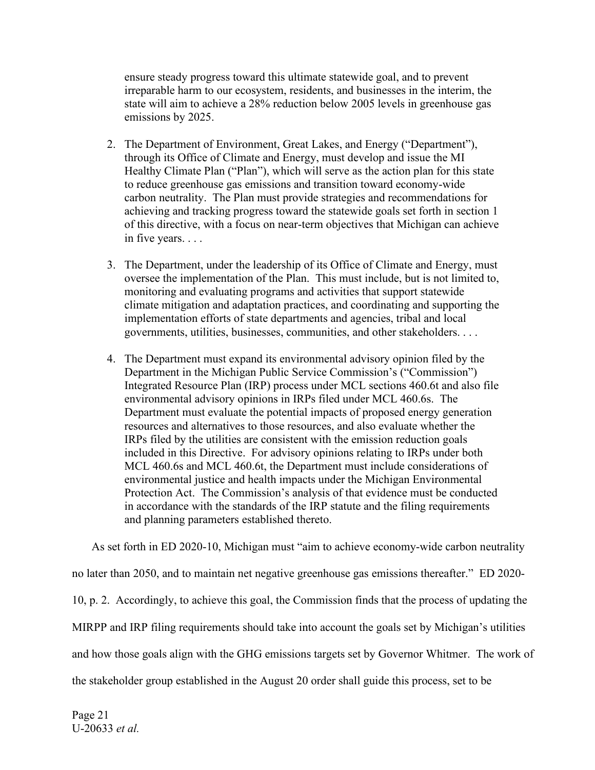ensure steady progress toward this ultimate statewide goal, and to prevent irreparable harm to our ecosystem, residents, and businesses in the interim, the state will aim to achieve a 28% reduction below 2005 levels in greenhouse gas emissions by 2025.

- 2. The Department of Environment, Great Lakes, and Energy ("Department"), through its Office of Climate and Energy, must develop and issue the MI Healthy Climate Plan ("Plan"), which will serve as the action plan for this state to reduce greenhouse gas emissions and transition toward economy-wide carbon neutrality. The Plan must provide strategies and recommendations for achieving and tracking progress toward the statewide goals set forth in section 1 of this directive, with a focus on near-term objectives that Michigan can achieve in five years. . . .
- 3. The Department, under the leadership of its Office of Climate and Energy, must oversee the implementation of the Plan. This must include, but is not limited to, monitoring and evaluating programs and activities that support statewide climate mitigation and adaptation practices, and coordinating and supporting the implementation efforts of state departments and agencies, tribal and local governments, utilities, businesses, communities, and other stakeholders. . . .
- 4. The Department must expand its environmental advisory opinion filed by the Department in the Michigan Public Service Commission's ("Commission") Integrated Resource Plan (IRP) process under MCL sections 460.6t and also file environmental advisory opinions in IRPs filed under MCL 460.6s. The Department must evaluate the potential impacts of proposed energy generation resources and alternatives to those resources, and also evaluate whether the IRPs filed by the utilities are consistent with the emission reduction goals included in this Directive. For advisory opinions relating to IRPs under both MCL 460.6s and MCL 460.6t, the Department must include considerations of environmental justice and health impacts under the Michigan Environmental Protection Act. The Commission's analysis of that evidence must be conducted in accordance with the standards of the IRP statute and the filing requirements and planning parameters established thereto.

As set forth in ED 2020-10, Michigan must "aim to achieve economy-wide carbon neutrality no later than 2050, and to maintain net negative greenhouse gas emissions thereafter." ED 2020- 10, p. 2. Accordingly, to achieve this goal, the Commission finds that the process of updating the MIRPP and IRP filing requirements should take into account the goals set by Michigan's utilities and how those goals align with the GHG emissions targets set by Governor Whitmer. The work of the stakeholder group established in the August 20 order shall guide this process, set to be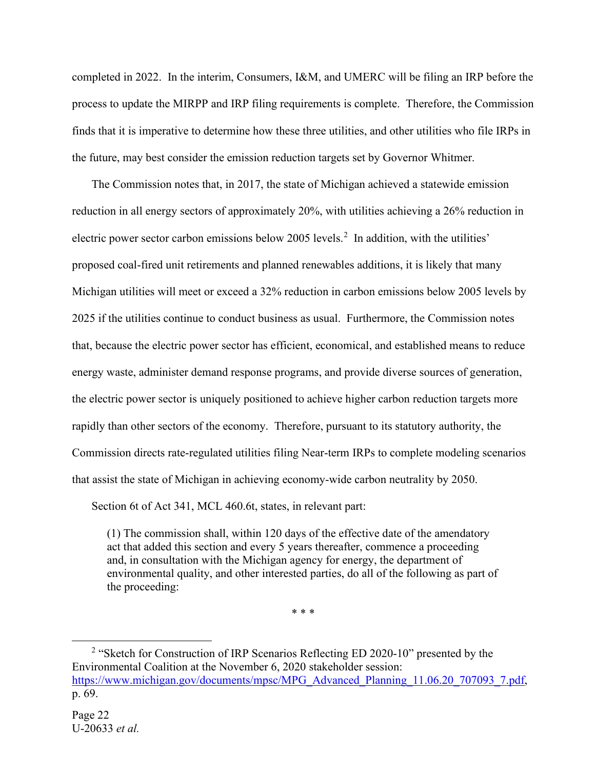completed in 2022. In the interim, Consumers, I&M, and UMERC will be filing an IRP before the process to update the MIRPP and IRP filing requirements is complete. Therefore, the Commission finds that it is imperative to determine how these three utilities, and other utilities who file IRPs in the future, may best consider the emission reduction targets set by Governor Whitmer.

The Commission notes that, in 2017, the state of Michigan achieved a statewide emission reduction in all energy sectors of approximately 20%, with utilities achieving a 26% reduction in electric power sector carbon emissions below [2](#page-21-0)005 levels.<sup>2</sup> In addition, with the utilities' proposed coal-fired unit retirements and planned renewables additions, it is likely that many Michigan utilities will meet or exceed a 32% reduction in carbon emissions below 2005 levels by 2025 if the utilities continue to conduct business as usual. Furthermore, the Commission notes that, because the electric power sector has efficient, economical, and established means to reduce energy waste, administer demand response programs, and provide diverse sources of generation, the electric power sector is uniquely positioned to achieve higher carbon reduction targets more rapidly than other sectors of the economy. Therefore, pursuant to its statutory authority, the Commission directs rate-regulated utilities filing Near-term IRPs to complete modeling scenarios that assist the state of Michigan in achieving economy-wide carbon neutrality by 2050.

Section 6t of Act 341, MCL 460.6t, states, in relevant part:

(1) The commission shall, within 120 days of the effective date of the amendatory act that added this section and every 5 years thereafter, commence a proceeding and, in consultation with the Michigan agency for energy, the department of environmental quality, and other interested parties, do all of the following as part of the proceeding:

\* \* \*

<span id="page-21-0"></span><sup>&</sup>lt;sup>2</sup> "Sketch for Construction of IRP Scenarios Reflecting ED 2020-10" presented by the Environmental Coalition at the November 6, 2020 stakeholder session: [https://www.michigan.gov/documents/mpsc/MPG\\_Advanced\\_Planning\\_11.06.20\\_707093\\_7.pdf,](https://www.michigan.gov/documents/mpsc/MPG_Advanced_Planning_11.06.20_707093_7.pdf) p. 69.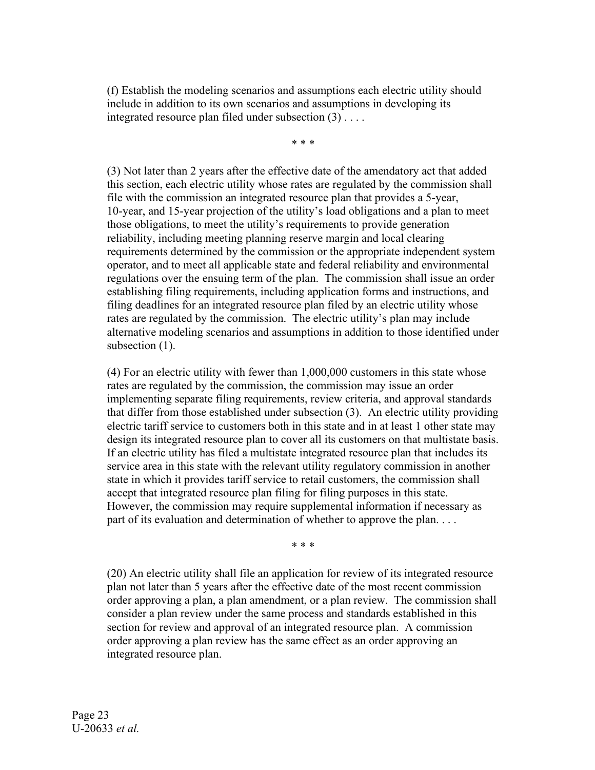(f) Establish the modeling scenarios and assumptions each electric utility should include in addition to its own scenarios and assumptions in developing its integrated resource plan filed under subsection (3) . . . .

\* \* \*

(3) Not later than 2 years after the effective date of the amendatory act that added this section, each electric utility whose rates are regulated by the commission shall file with the commission an integrated resource plan that provides a 5-year, 10-year, and 15-year projection of the utility's load obligations and a plan to meet those obligations, to meet the utility's requirements to provide generation reliability, including meeting planning reserve margin and local clearing requirements determined by the commission or the appropriate independent system operator, and to meet all applicable state and federal reliability and environmental regulations over the ensuing term of the plan. The commission shall issue an order establishing filing requirements, including application forms and instructions, and filing deadlines for an integrated resource plan filed by an electric utility whose rates are regulated by the commission. The electric utility's plan may include alternative modeling scenarios and assumptions in addition to those identified under subsection (1).

(4) For an electric utility with fewer than 1,000,000 customers in this state whose rates are regulated by the commission, the commission may issue an order implementing separate filing requirements, review criteria, and approval standards that differ from those established under subsection (3). An electric utility providing electric tariff service to customers both in this state and in at least 1 other state may design its integrated resource plan to cover all its customers on that multistate basis. If an electric utility has filed a multistate integrated resource plan that includes its service area in this state with the relevant utility regulatory commission in another state in which it provides tariff service to retail customers, the commission shall accept that integrated resource plan filing for filing purposes in this state. However, the commission may require supplemental information if necessary as part of its evaluation and determination of whether to approve the plan. . . .

\* \* \*

(20) An electric utility shall file an application for review of its integrated resource plan not later than 5 years after the effective date of the most recent commission order approving a plan, a plan amendment, or a plan review. The commission shall consider a plan review under the same process and standards established in this section for review and approval of an integrated resource plan. A commission order approving a plan review has the same effect as an order approving an integrated resource plan.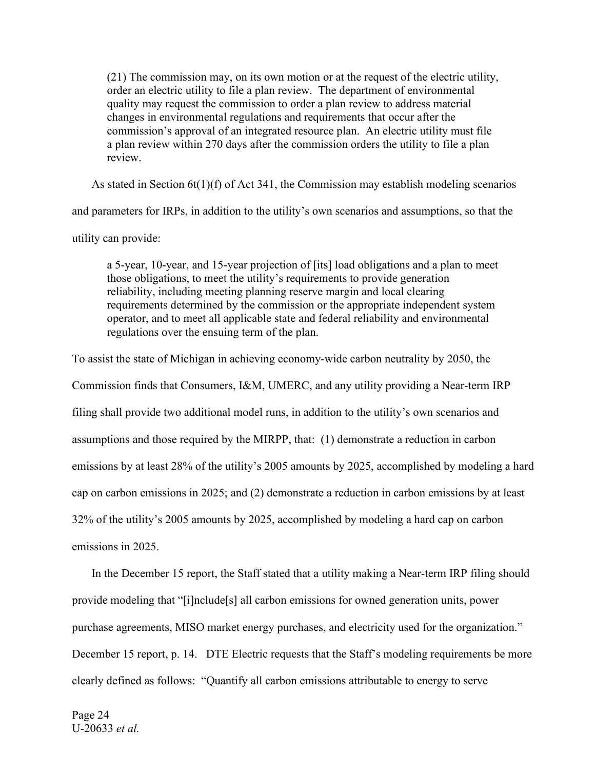(21) The commission may, on its own motion or at the request of the electric utility, order an electric utility to file a plan review. The department of environmental quality may request the commission to order a plan review to address material changes in environmental regulations and requirements that occur after the commission's approval of an integrated resource plan. An electric utility must file a plan review within 270 days after the commission orders the utility to file a plan review.

As stated in Section  $6t(1)(f)$  of Act 341, the Commission may establish modeling scenarios

and parameters for IRPs, in addition to the utility's own scenarios and assumptions, so that the

utility can provide:

a 5-year, 10-year, and 15-year projection of [its] load obligations and a plan to meet those obligations, to meet the utility's requirements to provide generation reliability, including meeting planning reserve margin and local clearing requirements determined by the commission or the appropriate independent system operator, and to meet all applicable state and federal reliability and environmental regulations over the ensuing term of the plan.

To assist the state of Michigan in achieving economy-wide carbon neutrality by 2050, the Commission finds that Consumers, I&M, UMERC, and any utility providing a Near-term IRP filing shall provide two additional model runs, in addition to the utility's own scenarios and assumptions and those required by the MIRPP, that: (1) demonstrate a reduction in carbon emissions by at least 28% of the utility's 2005 amounts by 2025, accomplished by modeling a hard

cap on carbon emissions in 2025; and (2) demonstrate a reduction in carbon emissions by at least

32% of the utility's 2005 amounts by 2025, accomplished by modeling a hard cap on carbon

emissions in 2025.

In the December 15 report, the Staff stated that a utility making a Near-term IRP filing should provide modeling that "[i]nclude[s] all carbon emissions for owned generation units, power purchase agreements, MISO market energy purchases, and electricity used for the organization." December 15 report, p. 14. DTE Electric requests that the Staff's modeling requirements be more clearly defined as follows: "Quantify all carbon emissions attributable to energy to serve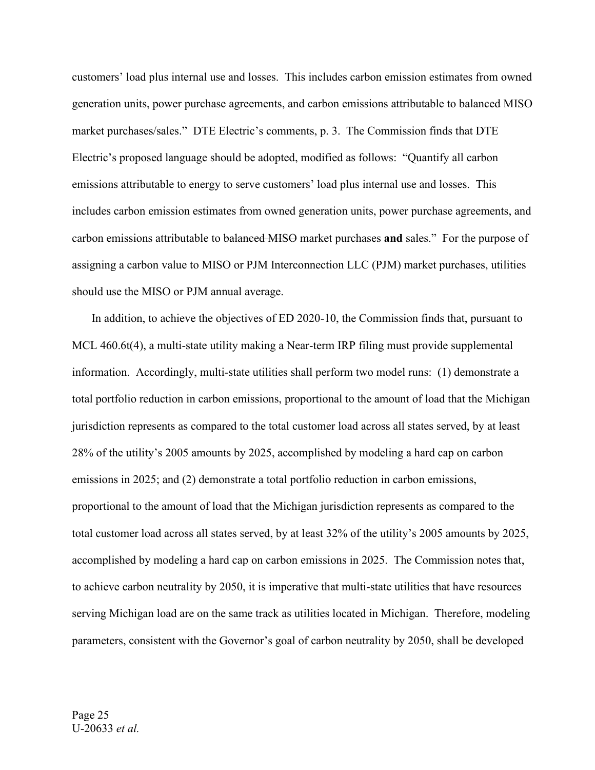customers' load plus internal use and losses. This includes carbon emission estimates from owned generation units, power purchase agreements, and carbon emissions attributable to balanced MISO market purchases/sales." DTE Electric's comments, p. 3. The Commission finds that DTE Electric's proposed language should be adopted, modified as follows: "Quantify all carbon emissions attributable to energy to serve customers' load plus internal use and losses. This includes carbon emission estimates from owned generation units, power purchase agreements, and carbon emissions attributable to balanced MISO market purchases **and** sales." For the purpose of assigning a carbon value to MISO or PJM Interconnection LLC (PJM) market purchases, utilities should use the MISO or PJM annual average.

In addition, to achieve the objectives of ED 2020-10, the Commission finds that, pursuant to MCL 460.6t(4), a multi-state utility making a Near-term IRP filing must provide supplemental information. Accordingly, multi-state utilities shall perform two model runs: (1) demonstrate a total portfolio reduction in carbon emissions, proportional to the amount of load that the Michigan jurisdiction represents as compared to the total customer load across all states served, by at least 28% of the utility's 2005 amounts by 2025, accomplished by modeling a hard cap on carbon emissions in 2025; and (2) demonstrate a total portfolio reduction in carbon emissions, proportional to the amount of load that the Michigan jurisdiction represents as compared to the total customer load across all states served, by at least 32% of the utility's 2005 amounts by 2025, accomplished by modeling a hard cap on carbon emissions in 2025. The Commission notes that, to achieve carbon neutrality by 2050, it is imperative that multi-state utilities that have resources serving Michigan load are on the same track as utilities located in Michigan. Therefore, modeling parameters, consistent with the Governor's goal of carbon neutrality by 2050, shall be developed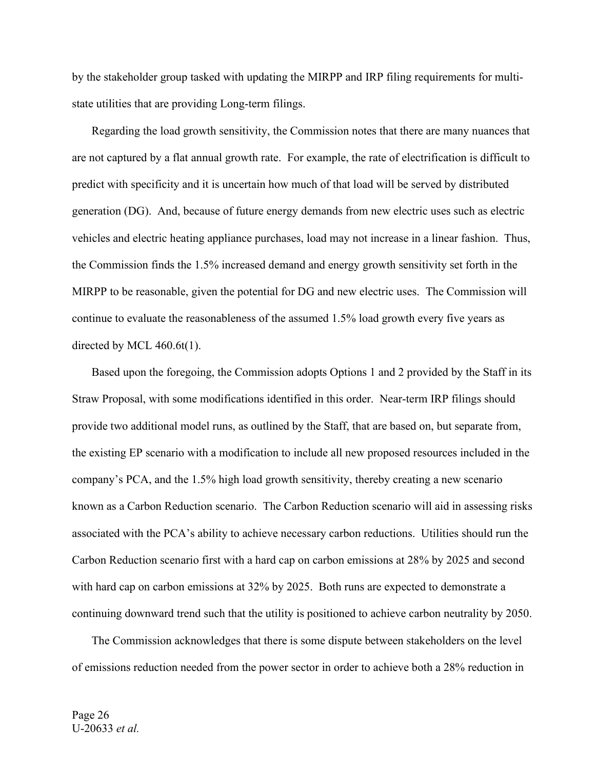by the stakeholder group tasked with updating the MIRPP and IRP filing requirements for multistate utilities that are providing Long-term filings.

Regarding the load growth sensitivity, the Commission notes that there are many nuances that are not captured by a flat annual growth rate. For example, the rate of electrification is difficult to predict with specificity and it is uncertain how much of that load will be served by distributed generation (DG). And, because of future energy demands from new electric uses such as electric vehicles and electric heating appliance purchases, load may not increase in a linear fashion. Thus, the Commission finds the 1.5% increased demand and energy growth sensitivity set forth in the MIRPP to be reasonable, given the potential for DG and new electric uses. The Commission will continue to evaluate the reasonableness of the assumed 1.5% load growth every five years as directed by MCL 460.6t(1).

Based upon the foregoing, the Commission adopts Options 1 and 2 provided by the Staff in its Straw Proposal, with some modifications identified in this order. Near-term IRP filings should provide two additional model runs, as outlined by the Staff, that are based on, but separate from, the existing EP scenario with a modification to include all new proposed resources included in the company's PCA, and the 1.5% high load growth sensitivity, thereby creating a new scenario known as a Carbon Reduction scenario. The Carbon Reduction scenario will aid in assessing risks associated with the PCA's ability to achieve necessary carbon reductions. Utilities should run the Carbon Reduction scenario first with a hard cap on carbon emissions at 28% by 2025 and second with hard cap on carbon emissions at 32% by 2025. Both runs are expected to demonstrate a continuing downward trend such that the utility is positioned to achieve carbon neutrality by 2050.

The Commission acknowledges that there is some dispute between stakeholders on the level of emissions reduction needed from the power sector in order to achieve both a 28% reduction in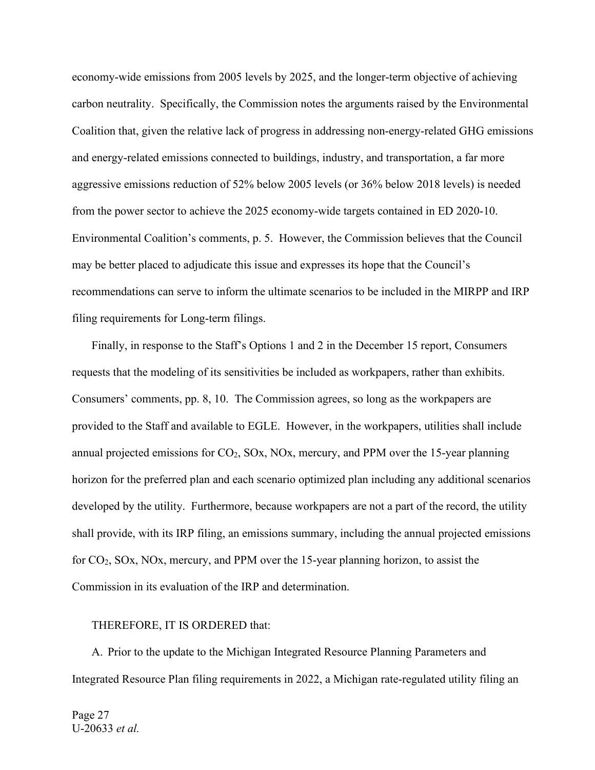economy-wide emissions from 2005 levels by 2025, and the longer-term objective of achieving carbon neutrality. Specifically, the Commission notes the arguments raised by the Environmental Coalition that, given the relative lack of progress in addressing non-energy-related GHG emissions and energy-related emissions connected to buildings, industry, and transportation, a far more aggressive emissions reduction of 52% below 2005 levels (or 36% below 2018 levels) is needed from the power sector to achieve the 2025 economy-wide targets contained in ED 2020-10. Environmental Coalition's comments, p. 5. However, the Commission believes that the Council may be better placed to adjudicate this issue and expresses its hope that the Council's recommendations can serve to inform the ultimate scenarios to be included in the MIRPP and IRP filing requirements for Long-term filings.

Finally, in response to the Staff's Options 1 and 2 in the December 15 report, Consumers requests that the modeling of its sensitivities be included as workpapers, rather than exhibits. Consumers' comments, pp. 8, 10. The Commission agrees, so long as the workpapers are provided to the Staff and available to EGLE. However, in the workpapers, utilities shall include annual projected emissions for  $CO<sub>2</sub>$ ,  $SO<sub>X</sub>$ ,  $NO<sub>X</sub>$ , mercury, and PPM over the 15-year planning horizon for the preferred plan and each scenario optimized plan including any additional scenarios developed by the utility. Furthermore, because workpapers are not a part of the record, the utility shall provide, with its IRP filing, an emissions summary, including the annual projected emissions for CO2, SOx, NOx, mercury, and PPM over the 15-year planning horizon, to assist the Commission in its evaluation of the IRP and determination.

#### THEREFORE, IT IS ORDERED that:

A. Prior to the update to the Michigan Integrated Resource Planning Parameters and Integrated Resource Plan filing requirements in 2022, a Michigan rate-regulated utility filing an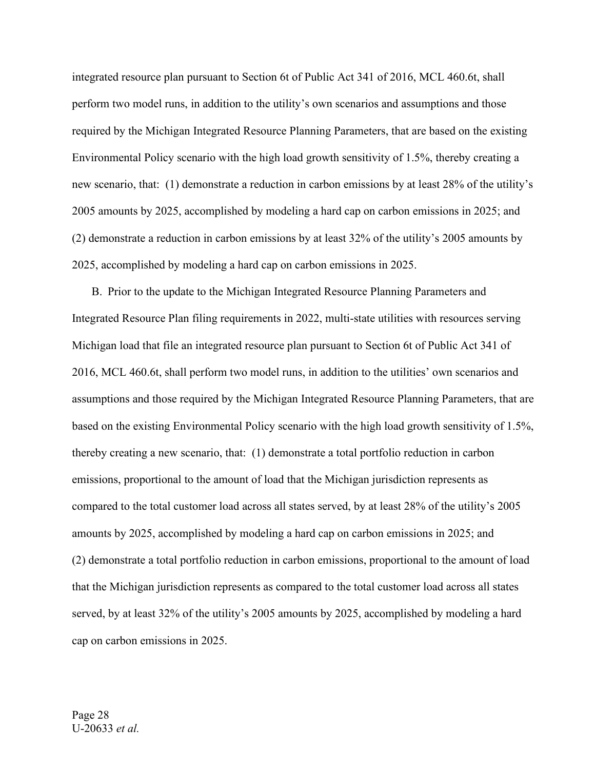integrated resource plan pursuant to Section 6t of Public Act 341 of 2016, MCL 460.6t, shall perform two model runs, in addition to the utility's own scenarios and assumptions and those required by the Michigan Integrated Resource Planning Parameters, that are based on the existing Environmental Policy scenario with the high load growth sensitivity of 1.5%, thereby creating a new scenario, that: (1) demonstrate a reduction in carbon emissions by at least 28% of the utility's 2005 amounts by 2025, accomplished by modeling a hard cap on carbon emissions in 2025; and (2) demonstrate a reduction in carbon emissions by at least 32% of the utility's 2005 amounts by 2025, accomplished by modeling a hard cap on carbon emissions in 2025.

B. Prior to the update to the Michigan Integrated Resource Planning Parameters and Integrated Resource Plan filing requirements in 2022, multi-state utilities with resources serving Michigan load that file an integrated resource plan pursuant to Section 6t of Public Act 341 of 2016, MCL 460.6t, shall perform two model runs, in addition to the utilities' own scenarios and assumptions and those required by the Michigan Integrated Resource Planning Parameters, that are based on the existing Environmental Policy scenario with the high load growth sensitivity of 1.5%, thereby creating a new scenario, that: (1) demonstrate a total portfolio reduction in carbon emissions, proportional to the amount of load that the Michigan jurisdiction represents as compared to the total customer load across all states served, by at least 28% of the utility's 2005 amounts by 2025, accomplished by modeling a hard cap on carbon emissions in 2025; and (2) demonstrate a total portfolio reduction in carbon emissions, proportional to the amount of load that the Michigan jurisdiction represents as compared to the total customer load across all states served, by at least 32% of the utility's 2005 amounts by 2025, accomplished by modeling a hard cap on carbon emissions in 2025.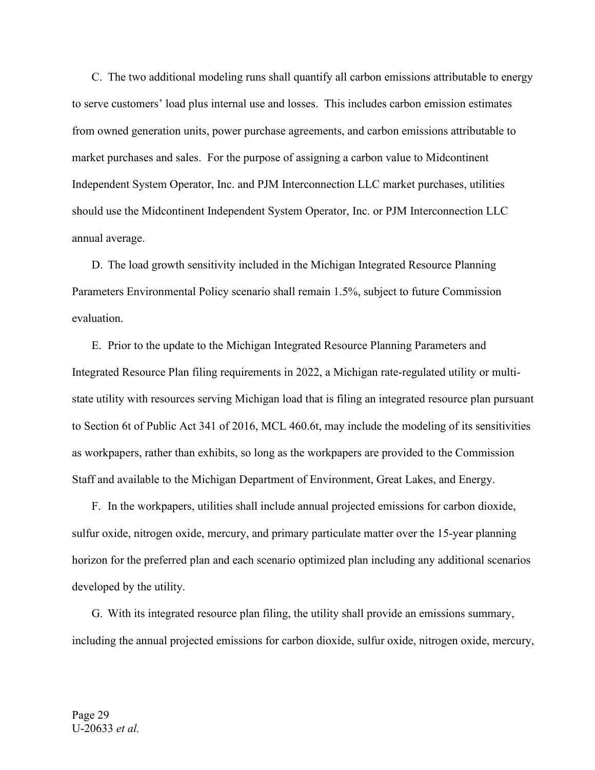C. The two additional modeling runs shall quantify all carbon emissions attributable to energy to serve customers' load plus internal use and losses. This includes carbon emission estimates from owned generation units, power purchase agreements, and carbon emissions attributable to market purchases and sales. For the purpose of assigning a carbon value to Midcontinent Independent System Operator, Inc. and PJM Interconnection LLC market purchases, utilities should use the Midcontinent Independent System Operator, Inc. or PJM Interconnection LLC annual average.

D. The load growth sensitivity included in the Michigan Integrated Resource Planning Parameters Environmental Policy scenario shall remain 1.5%, subject to future Commission evaluation.

E. Prior to the update to the Michigan Integrated Resource Planning Parameters and Integrated Resource Plan filing requirements in 2022, a Michigan rate-regulated utility or multistate utility with resources serving Michigan load that is filing an integrated resource plan pursuant to Section 6t of Public Act 341 of 2016, MCL 460.6t, may include the modeling of its sensitivities as workpapers, rather than exhibits, so long as the workpapers are provided to the Commission Staff and available to the Michigan Department of Environment, Great Lakes, and Energy.

F. In the workpapers, utilities shall include annual projected emissions for carbon dioxide, sulfur oxide, nitrogen oxide, mercury, and primary particulate matter over the 15-year planning horizon for the preferred plan and each scenario optimized plan including any additional scenarios developed by the utility.

G. With its integrated resource plan filing, the utility shall provide an emissions summary, including the annual projected emissions for carbon dioxide, sulfur oxide, nitrogen oxide, mercury,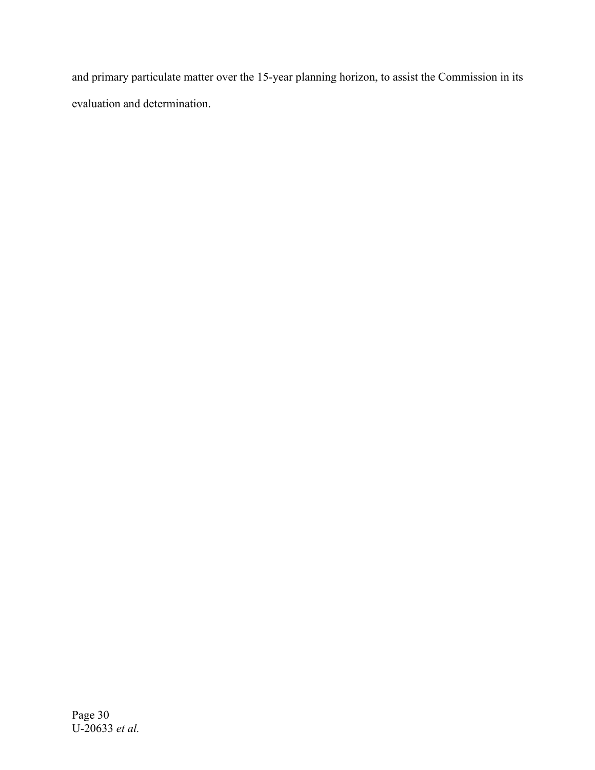and primary particulate matter over the 15-year planning horizon, to assist the Commission in its evaluation and determination.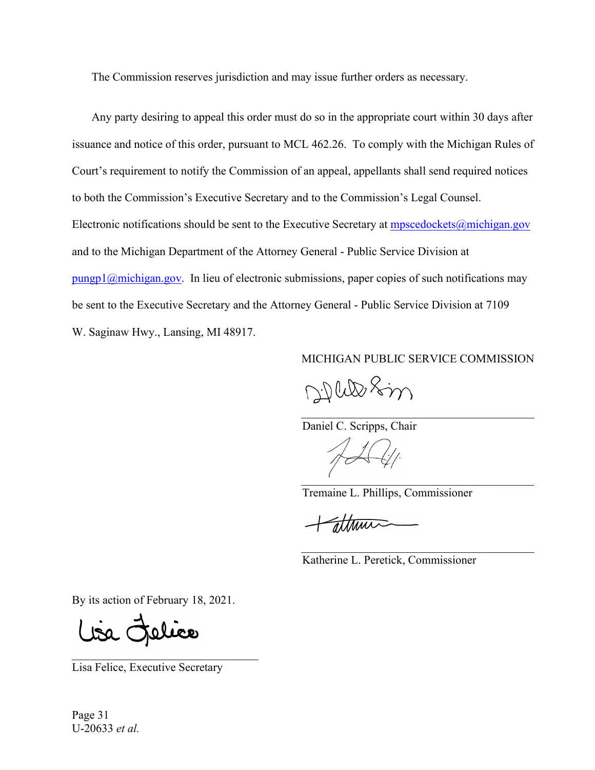The Commission reserves jurisdiction and may issue further orders as necessary.

Any party desiring to appeal this order must do so in the appropriate court within 30 days after issuance and notice of this order, pursuant to MCL 462.26. To comply with the Michigan Rules of Court's requirement to notify the Commission of an appeal, appellants shall send required notices to both the Commission's Executive Secretary and to the Commission's Legal Counsel. Electronic notifications should be sent to the Executive Secretary at [mpscedockets@michigan.gov](mailto:mpscedockets@michigan.gov) and to the Michigan Department of the Attorney General - Public Service Division at  $pungp1@michigan.gov$ . In lieu of electronic submissions, paper copies of such notifications may be sent to the Executive Secretary and the Attorney General - Public Service Division at 7109 W. Saginaw Hwy., Lansing, MI 48917.

MICHIGAN PUBLIC SERVICE COMMISSION

 $\mathcal{L}_\mathcal{L}$  , which is a set of the set of the set of the set of the set of the set of the set of the set of the set of the set of the set of the set of the set of the set of the set of the set of the set of the set of

 $\mathcal{L}_\mathcal{L}$  , which is a set of the set of the set of the set of the set of the set of the set of the set of the set of the set of the set of the set of the set of the set of the set of the set of the set of the set of

Dille Sin

Daniel C. Scripps, Chair

 $\overline{a}$  ,  $\overline{a}$  ,  $\overline{a}$  ,  $\overline{a}$  ,  $\overline{a}$  ,  $\overline{a}$  ,  $\overline{a}$  ,  $\overline{a}$  ,  $\overline{a}$  ,  $\overline{a}$  ,  $\overline{a}$  ,  $\overline{a}$  ,  $\overline{a}$  ,  $\overline{a}$  ,  $\overline{a}$  ,  $\overline{a}$  ,  $\overline{a}$  ,  $\overline{a}$  ,  $\overline{a}$  ,  $\overline{a}$  ,

Tremaine L. Phillips, Commissioner

attrin

Katherine L. Peretick, Commissioner

By its action of February 18, 2021.

Lisa Felice

Lisa Felice, Executive Secretary

 $\overline{\phantom{a}}$  , and the set of the set of the set of the set of the set of the set of the set of the set of the set of the set of the set of the set of the set of the set of the set of the set of the set of the set of the s

Page 31 U-20633 *et al.*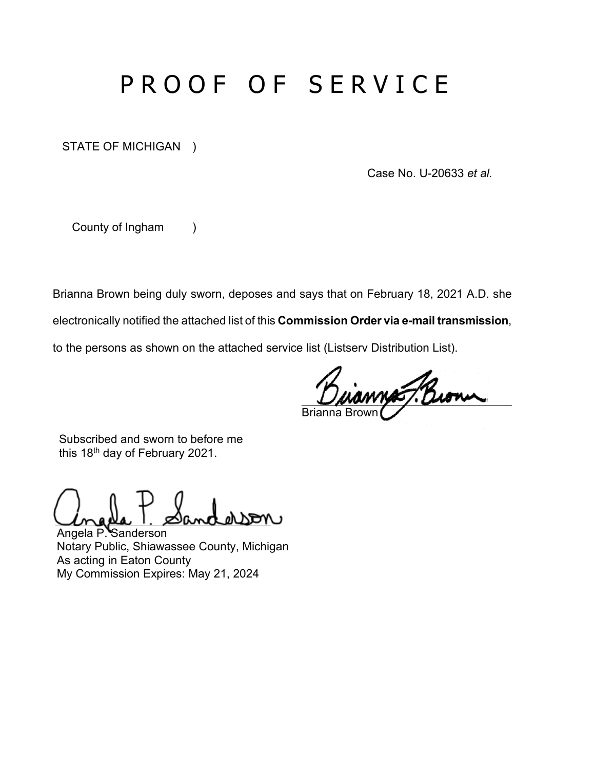# PROOF OF SERVICE

STATE OF MICHIGAN )

Case No. U-20633 *et al.*

County of Ingham )

Brianna Brown being duly sworn, deposes and says that on February 18, 2021 A.D. she

electronically notified the attached list of this **Commission Order via e-mail transmission**,

to the persons as shown on the attached service list (Listserv Distribution List).

 $\nu\approx 1$  Brown **Brian** 

 Subscribed and sworn to before me this 18<sup>th</sup> day of February 2021.

Unada 1. Sanderson

Angela P. Sanderson Notary Public, Shiawassee County, Michigan As acting in Eaton County My Commission Expires: May 21, 2024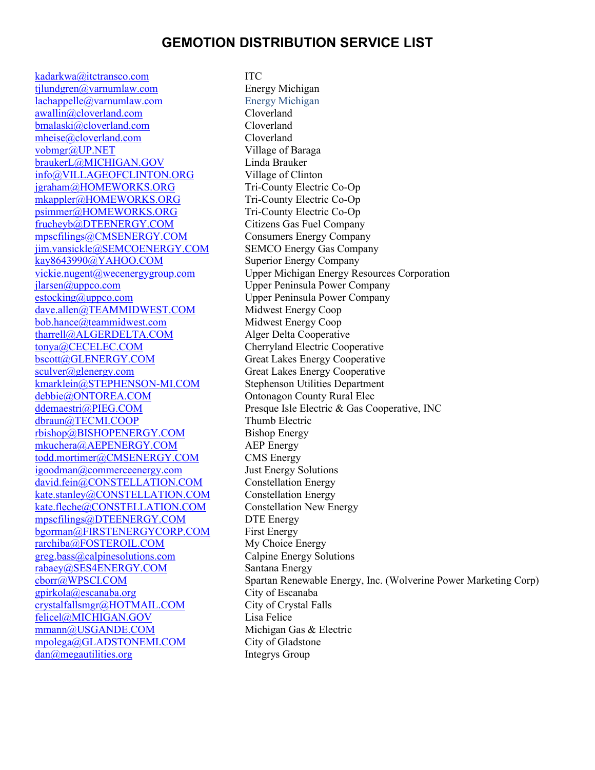## **GEMOTION DISTRIBUTION SERVICE LIST**

[kadarkwa@itctransco.com](mailto:kadarkwa@itctransco.com) ITC [tjlundgren@varnumlaw.com](mailto:tjlundgren@varnumlaw.com) Energy Michigan [lachappelle@varnumlaw.com](mailto:lachappelle@varnumlaw.com) Energy Michigan  $awallin@cloverland.com$ [bmalaski@cloverland.com](mailto:bmalaski@cloverland.com) Cloverland [mheise@cloverland.com](mailto:mheise@cloverland.com) Cloverland [vobmgr@UP.NET](mailto:vobmgr@UP.NET) Village of Baraga [braukerL@MICHIGAN.GOV](mailto:braukerL@MICHIGAN.GOV) Linda Brauker [info@VILLAGEOFCLINTON.ORG](mailto:info@VILLAGEOFCLINTON.ORG) Village of Clinton [jgraham@HOMEWORKS.ORG](mailto:jgraham@HOMEWORKS.ORG) Tri-County Electric Co-Op [mkappler@HOMEWORKS.ORG](mailto:mkappler@HOMEWORKS.ORG) Tri-County Electric Co-Op [psimmer@HOMEWORKS.ORG](mailto:psimmer@HOMEWORKS.ORG) Tri-County Electric Co-Op [frucheyb@DTEENERGY.COM](mailto:frucheyb@DTEENERGY.COM) Citizens Gas Fuel Company [mpscfilings@CMSENERGY.COM](mailto:mpscfilings@CMSENERGY.COM) Consumers Energy Company [jim.vansickle@SEMCOENERGY.COM](mailto:jim.vansickle@SEMCOENERGY.COM) SEMCO Energy Gas Company [kay8643990@YAHOO.COM](mailto:kay8643990@YAHOO.COM) Superior Energy Company [jlarsen@uppco.com](mailto:jlarsen@uppco.com) Upper Peninsula Power Company [estocking@uppco.com](mailto:estocking@uppco.com) Upper Peninsula Power Company [dave.allen@TEAMMIDWEST.COM](mailto:dave.allen@TEAMMIDWEST.COM) Midwest Energy Coop [bob.hance@teammidwest.com](mailto:bob.hance@teammidwest.com) Midwest Energy Coop [tharrell@ALGERDELTA.COM](mailto:tharrell@ALGERDELTA.COM) Alger Delta Cooperative [tonya@CECELEC.COM](mailto:tonya@CECELEC.COM) Cherryland Electric Cooperative [bscott@GLENERGY.COM](mailto:bscott@GLENERGY.COM) Great Lakes Energy Cooperative [sculver@glenergy.com](mailto:sculver@glenergy.com) Great Lakes Energy Cooperative [kmarklein@STEPHENSON-MI.COM](mailto:kmarklein@STEPHENSON-MI.COM) Stephenson Utilities Department [debbie@ONTOREA.COM](mailto:debbie@ONTOREA.COM) Ontonagon County Rural Elec [dbraun@TECMI.COOP](mailto:dbraun@TECMI.COOP) Thumb Electric [rbishop@BISHOPENERGY.COM](mailto:rbishop@BISHOPENERGY.COM) Bishop Energy [mkuchera@AEPENERGY.COM](mailto:mkuchera@AEPENERGY.COM) AEP Energy [todd.mortimer@CMSENERGY.COM](mailto:todd.mortimer@CMSENERGY.COM) CMS Energy [igoodman@commerceenergy.com](mailto:igoodman@commerceenergy.com) Just Energy Solutions [david.fein@CONSTELLATION.COM](mailto:david.fein@CONSTELLATION.COM) Constellation Energy [kate.stanley@CONSTELLATION.COM](mailto:kate.stanley@CONSTELLATION.COM) Constellation Energy [kate.fleche@CONSTELLATION.COM](mailto:kate.fleche@CONSTELLATION.COM) Constellation New Energy [mpscfilings@DTEENERGY.COM](mailto:mpscfilings@DTEENERGY.COM) DTE Energy [bgorman@FIRSTENERGYCORP.COM](mailto:bgorman@FIRSTENERGYCORP.COM) First Energy [rarchiba@FOSTEROIL.COM](mailto:rarchiba@FOSTEROIL.COM) My Choice Energy [greg.bass@calpinesolutions.com](mailto:greg.bass@calpinesolutions.com) Calpine Energy Solutions [rabaey@SES4ENERGY.COM](mailto:rabaey@SES4ENERGY.COM) Santana Energy [gpirkola@escanaba.org](mailto:gpirkola@escanaba.org) City of Escanaba<br>crystalfallsmgr@HOTMAIL.COM City of Crystal Falls  $crystal falls mgr@HOTMAL. COM$ [felicel@MICHIGAN.GOV](mailto:felicel@MICHIGAN.GOV) Lisa Felice [mmann@USGANDE.COM](mailto:mmann@USGANDE.COM) Michigan Gas & Electric [mpolega@GLADSTONEMI.COM](mailto:mpolega@GLADSTONEMI.COM) City of Gladstone [dan@megautilities.org](mailto:dan@megautilities.org) Integrys Group

[vickie.nugent@wecenergygroup.com](mailto:vickie.nugent@wecenergygroup.com) Upper Michigan Energy Resources Corporation [ddemaestri@PIEG.COM](mailto:ddemaestri@PIEG.COM) Presque Isle Electric & Gas Cooperative, INC [cborr@WPSCI.COM](mailto:cborr@WPSCI.COM) Spartan Renewable Energy, Inc. (Wolverine Power Marketing Corp)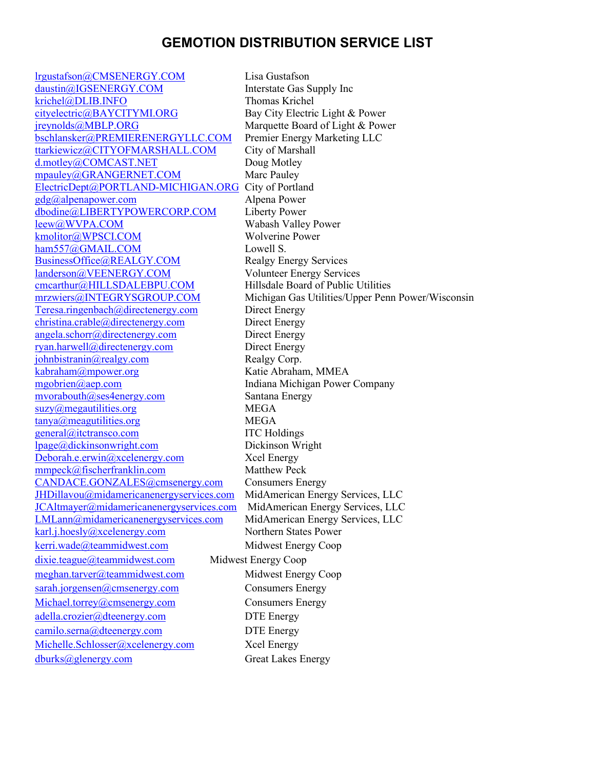## **GEMOTION DISTRIBUTION SERVICE LIST**

[lrgustafson@CMSENERGY.COM](mailto:lrgustafson@CMSENERGY.COM) Lisa Gustafson [daustin@IGSENERGY.COM](mailto:daustin@IGSENERGY.COM) Interstate Gas Supply Inc [krichel@DLIB.INFO](mailto:krichel@DLIB.INFO) Thomas Krichel [cityelectric@BAYCITYMI.ORG](mailto:cityelectric@BAYCITYMI.ORG) Bay City Electric Light & Power [jreynolds@MBLP.ORG](mailto:jreynolds@MBLP.ORG) Marquette Board of Light & Power [bschlansker@PREMIERENERGYLLC.COM](mailto:bschlansker@PREMIERENERGYLLC.COM) Premier Energy Marketing LLC [ttarkiewicz@CITYOFMARSHALL.COM](mailto:ttarkiewicz@CITYOFMARSHALL.COM) City of Marshall [d.motley@COMCAST.NET](mailto:d.motley@COMCAST.NET) Doug Motley [mpauley@GRANGERNET.COM](mailto:mpauley@GRANGERNET.COM) Marc Pauley [ElectricDept@PORTLAND-MICHIGAN.ORG](mailto:ElectricDept@PORTLAND-MICHIGAN.ORG) City of Portland [gdg@alpenapower.com](mailto:gdg@alpenapower.com) Alpena Power [dbodine@LIBERTYPOWERCORP.COM](mailto:dbodine@LIBERTYPOWERCORP.COM) Liberty Power <u>leew@WVPA.COM</u> Wabash Valley Power<br>
kmolitor@WPSCI.COM Wolverine Power kmolitor@WPSCI.COM [ham557@GMAIL.COM](mailto:ham557@GMAIL.COM) Lowell S. [BusinessOffice@REALGY.COM](mailto:BusinessOffice@REALGY.COM) Realgy Energy Services [landerson@VEENERGY.COM](mailto:landerson@VEENERGY.COM) Volunteer Energy Services [cmcarthur@HILLSDALEBPU.COM](mailto:cmcarthur@HILLSDALEBPU.COM) Hillsdale Board of Public Utilities [mrzwiers@INTEGRYSGROUP.COM](mailto:mrzwiers@INTEGRYSGROUP.COM) Michigan Gas Utilities/Upper Penn Power/Wisconsin [Teresa.ringenbach@directenergy.com](mailto:Teresa.ringenbach@directenergy.com) Direct Energy [christina.crable@directenergy.com](mailto:christina.crable@directenergy.com) Direct Energy [angela.schorr@directenergy.com](mailto:angela.schorr@directenergy.com) Direct Energy [ryan.harwell@directenergy.com](mailto:ryan.harwell@directenergy.com) Direct Energy [johnbistranin@realgy.com](mailto:johnbistranin@realgy.com) Realgy Corp. [kabraham@mpower.org](mailto:kabraham@mpower.org) Katie Abraham, MMEA [mgobrien@aep.com](mailto:mgobrien@aep.com) Indiana Michigan Power Company [mvorabouth@ses4energy.com](mailto:mvorabouth@ses4energy.com) Santana Energy [suzy@megautilities.org](mailto:suzy@megautilities.org) MEGA [tanya@meagutilities.org](mailto:tanya@meagutilities.org) MEGA [general@itctransco.com](mailto:general@itctransco.com) ITC Holdings [lpage@dickinsonwright.com](mailto:lpage@dickinsonwright.com) Dickinson Wright [Deborah.e.erwin@xcelenergy.com](mailto:Deborah.e.erwin@xcelenergy.com) Xcel Energy [mmpeck@fischerfranklin.com](mailto:mmpeck@fischerfranklin.com) Matthew Peck [CANDACE.GONZALES@cmsenergy.com](mailto:CANDACE.GONZALES@cmsenergy.com) Consumers Energy [JHDillavou@midamericanenergyservices.com](mailto:JHDillavou@midamericanenergyservices.com) MidAmerican Energy Services, LLC [JCAltmayer@midamericanenergyservices.com](mailto:JCAltmayer@midamericanenergyservices.com) MidAmerican Energy Services, LLC [LMLann@midamericanenergyservices.com](mailto:LMLann@midamericanenergyservices.com) MidAmerican Energy Services, LLC karl.*i.hoesly@xcelenergy.com* Northern States Power [kerri.wade@teammidwest.com](mailto:kerri.wade@teammidwest.com) Midwest Energy Coop [dixie.teague@teammidwest.com](mailto:dixie.teague@teammidwest.com) Midwest Energy Coop [meghan.tarver@teammidwest.com](mailto:meghan.tarver@teammidwest.com) Midwest Energy Coop [sarah.jorgensen@cmsenergy.com](mailto:sarah.jorgensen@cmsenergy.com) Consumers Energy [Michael.torrey@cmsenergy.com](mailto:Michael.torrey@cmsenergy.com) Consumers Energy [adella.crozier@dteenergy.com](mailto:adella.crozier@dteenergy.com) DTE Energy [camilo.serna@dteenergy.com](mailto:camilo.serna@dteenergy.com) DTE Energy [Michelle.Schlosser@xcelenergy.com](mailto:Michelle.Schlosser@xcelenergy.com) Xcel Energy [dburks@glenergy.com](mailto:dburks@glenergy.com) Great Lakes Energy